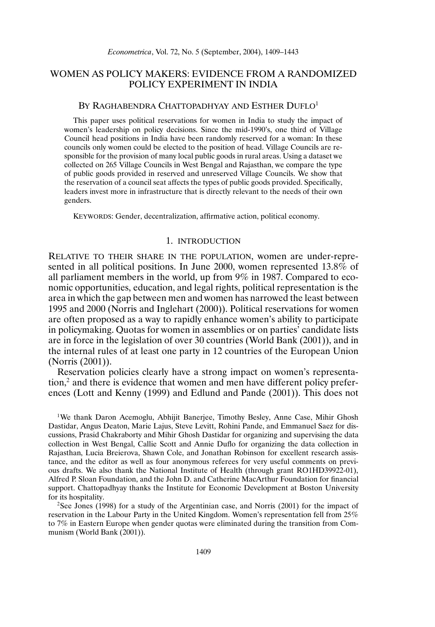# WOMEN AS POLICY MAKERS: EVIDENCE FROM A RANDOMIZED POLICY EXPERIMENT IN INDIA

# BY RAGHABENDRA CHATTOPADHYAY AND ESTHER DUFLO<sup>1</sup>

This paper uses political reservations for women in India to study the impact of women's leadership on policy decisions. Since the mid-1990's, one third of Village Council head positions in India have been randomly reserved for a woman: In these councils only women could be elected to the position of head. Village Councils are responsible for the provision of many local public goods in rural areas. Using a dataset we collected on 265 Village Councils in West Bengal and Rajasthan, we compare the type of public goods provided in reserved and unreserved Village Councils. We show that the reservation of a council seat affects the types of public goods provided. Specifically, leaders invest more in infrastructure that is directly relevant to the needs of their own genders.

KEYWORDS: Gender, decentralization, affirmative action, political economy.

### 1. INTRODUCTION

RELATIVE TO THEIR SHARE IN THE POPULATION, women are under-represented in all political positions. In June 2000, women represented 13.8% of all parliament members in the world, up from 9% in 1987. Compared to economic opportunities, education, and legal rights, political representation is the area in which the gap between men and women has narrowed the least between 1995 and 2000 (Norris and Inglehart (2000)). Political reservations for women are often proposed as a way to rapidly enhance women's ability to participate in policymaking. Quotas for women in assemblies or on parties' candidate lists are in force in the legislation of over 30 countries (World Bank (2001)), and in the internal rules of at least one party in 12 countries of the European Union (Norris (2001)).

Reservation policies clearly have a strong impact on women's representation,<sup>2</sup> and there is evidence that women and men have different policy preferences (Lott and Kenny (1999) and Edlund and Pande (2001)). This does not

<sup>1</sup>We thank Daron Acemoglu, Abhijit Banerjee, Timothy Besley, Anne Case, Mihir Ghosh Dastidar, Angus Deaton, Marie Lajus, Steve Levitt, Rohini Pande, and Emmanuel Saez for discussions, Prasid Chakraborty and Mihir Ghosh Dastidar for organizing and supervising the data collection in West Bengal, Callie Scott and Annie Duflo for organizing the data collection in Rajasthan, Lucia Breierova, Shawn Cole, and Jonathan Robinson for excellent research assistance, and the editor as well as four anonymous referees for very useful comments on previous drafts. We also thank the National Institute of Health (through grant RO1HD39922-01), Alfred P. Sloan Foundation, and the John D. and Catherine MacArthur Foundation for financial support. Chattopadhyay thanks the Institute for Economic Development at Boston University for its hospitality.

2See Jones (1998) for a study of the Argentinian case, and Norris (2001) for the impact of reservation in the Labour Party in the United Kingdom. Women's representation fell from 25% to 7% in Eastern Europe when gender quotas were eliminated during the transition from Communism (World Bank (2001)).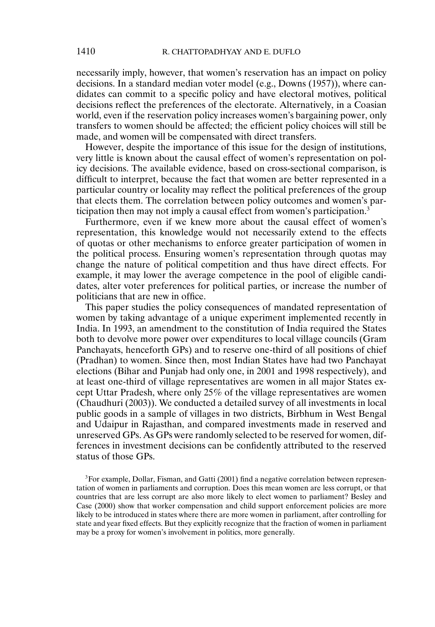necessarily imply, however, that women's reservation has an impact on policy decisions. In a standard median voter model (e.g., Downs (1957)), where candidates can commit to a specific policy and have electoral motives, political decisions reflect the preferences of the electorate. Alternatively, in a Coasian world, even if the reservation policy increases women's bargaining power, only transfers to women should be affected; the efficient policy choices will still be made, and women will be compensated with direct transfers.

However, despite the importance of this issue for the design of institutions, very little is known about the causal effect of women's representation on policy decisions. The available evidence, based on cross-sectional comparison, is difficult to interpret, because the fact that women are better represented in a particular country or locality may reflect the political preferences of the group that elects them. The correlation between policy outcomes and women's participation then may not imply a causal effect from women's participation.3

Furthermore, even if we knew more about the causal effect of women's representation, this knowledge would not necessarily extend to the effects of quotas or other mechanisms to enforce greater participation of women in the political process. Ensuring women's representation through quotas may change the nature of political competition and thus have direct effects. For example, it may lower the average competence in the pool of eligible candidates, alter voter preferences for political parties, or increase the number of politicians that are new in office.

This paper studies the policy consequences of mandated representation of women by taking advantage of a unique experiment implemented recently in India. In 1993, an amendment to the constitution of India required the States both to devolve more power over expenditures to local village councils (Gram Panchayats, henceforth GPs) and to reserve one-third of all positions of chief (Pradhan) to women. Since then, most Indian States have had two Panchayat elections (Bihar and Punjab had only one, in 2001 and 1998 respectively), and at least one-third of village representatives are women in all major States except Uttar Pradesh, where only 25% of the village representatives are women (Chaudhuri (2003)). We conducted a detailed survey of all investments in local public goods in a sample of villages in two districts, Birbhum in West Bengal and Udaipur in Rajasthan, and compared investments made in reserved and unreserved GPs. As GPs were randomly selected to be reserved for women, differences in investment decisions can be confidently attributed to the reserved status of those GPs.

 $3$ For example, Dollar, Fisman, and Gatti (2001) find a negative correlation between representation of women in parliaments and corruption. Does this mean women are less corrupt, or that countries that are less corrupt are also more likely to elect women to parliament? Besley and Case (2000) show that worker compensation and child support enforcement policies are more likely to be introduced in states where there are more women in parliament, after controlling for state and year fixed effects. But they explicitly recognize that the fraction of women in parliament may be a proxy for women's involvement in politics, more generally.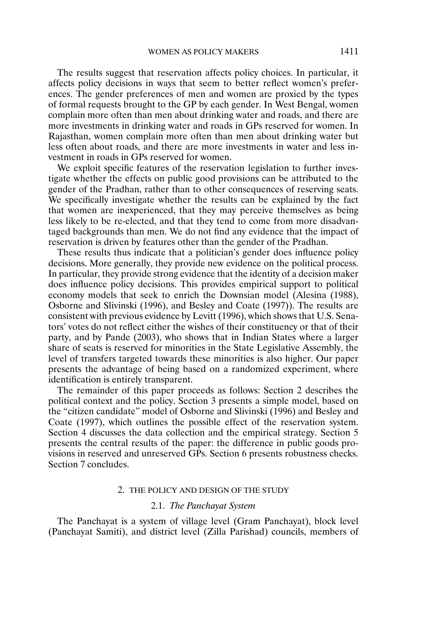The results suggest that reservation affects policy choices. In particular, it affects policy decisions in ways that seem to better reflect women's preferences. The gender preferences of men and women are proxied by the types of formal requests brought to the GP by each gender. In West Bengal, women complain more often than men about drinking water and roads, and there are more investments in drinking water and roads in GPs reserved for women. In Rajasthan, women complain more often than men about drinking water but less often about roads, and there are more investments in water and less investment in roads in GPs reserved for women.

We exploit specific features of the reservation legislation to further investigate whether the effects on public good provisions can be attributed to the gender of the Pradhan, rather than to other consequences of reserving seats. We specifically investigate whether the results can be explained by the fact that women are inexperienced, that they may perceive themselves as being less likely to be re-elected, and that they tend to come from more disadvantaged backgrounds than men. We do not find any evidence that the impact of reservation is driven by features other than the gender of the Pradhan.

These results thus indicate that a politician's gender does influence policy decisions. More generally, they provide new evidence on the political process. In particular, they provide strong evidence that the identity of a decision maker does influence policy decisions. This provides empirical support to political economy models that seek to enrich the Downsian model (Alesina (1988), Osborne and Slivinski (1996), and Besley and Coate (1997)). The results are consistent with previous evidence by Levitt (1996), which shows that U.S. Senators' votes do not reflect either the wishes of their constituency or that of their party, and by Pande (2003), who shows that in Indian States where a larger share of seats is reserved for minorities in the State Legislative Assembly, the level of transfers targeted towards these minorities is also higher. Our paper presents the advantage of being based on a randomized experiment, where identification is entirely transparent.

The remainder of this paper proceeds as follows: Section 2 describes the political context and the policy. Section 3 presents a simple model, based on the "citizen candidate" model of Osborne and Slivinski (1996) and Besley and Coate (1997), which outlines the possible effect of the reservation system. Section 4 discusses the data collection and the empirical strategy. Section 5 presents the central results of the paper: the difference in public goods provisions in reserved and unreserved GPs. Section 6 presents robustness checks. Section 7 concludes.

#### 2. THE POLICY AND DESIGN OF THE STUDY

## 2.1. *The Panchayat System*

The Panchayat is a system of village level (Gram Panchayat), block level (Panchayat Samiti), and district level (Zilla Parishad) councils, members of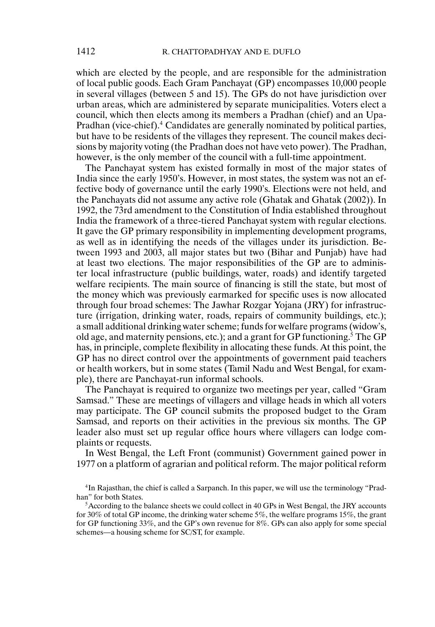which are elected by the people, and are responsible for the administration of local public goods. Each Gram Panchayat (GP) encompasses 10,000 people in several villages (between 5 and 15). The GPs do not have jurisdiction over urban areas, which are administered by separate municipalities. Voters elect a council, which then elects among its members a Pradhan (chief) and an Upa-Pradhan (vice-chief).<sup>4</sup> Candidates are generally nominated by political parties, but have to be residents of the villages they represent. The council makes decisions by majority voting (the Pradhan does not have veto power). The Pradhan, however, is the only member of the council with a full-time appointment.

The Panchayat system has existed formally in most of the major states of India since the early 1950's. However, in most states, the system was not an effective body of governance until the early 1990's. Elections were not held, and the Panchayats did not assume any active role (Ghatak and Ghatak (2002)). In 1992, the 73rd amendment to the Constitution of India established throughout India the framework of a three-tiered Panchayat system with regular elections. It gave the GP primary responsibility in implementing development programs, as well as in identifying the needs of the villages under its jurisdiction. Between 1993 and 2003, all major states but two (Bihar and Punjab) have had at least two elections. The major responsibilities of the GP are to administer local infrastructure (public buildings, water, roads) and identify targeted welfare recipients. The main source of financing is still the state, but most of the money which was previously earmarked for specific uses is now allocated through four broad schemes: The Jawhar Rozgar Yojana (JRY) for infrastructure (irrigation, drinking water, roads, repairs of community buildings, etc.); a small additional drinking water scheme; funds for welfare programs (widow's, old age, and maternity pensions, etc.); and a grant for GP functioning.<sup>5</sup> The GP has, in principle, complete flexibility in allocating these funds. At this point, the GP has no direct control over the appointments of government paid teachers or health workers, but in some states (Tamil Nadu and West Bengal, for example), there are Panchayat-run informal schools.

The Panchayat is required to organize two meetings per year, called "Gram Samsad." These are meetings of villagers and village heads in which all voters may participate. The GP council submits the proposed budget to the Gram Samsad, and reports on their activities in the previous six months. The GP leader also must set up regular office hours where villagers can lodge complaints or requests.

In West Bengal, the Left Front (communist) Government gained power in 1977 on a platform of agrarian and political reform. The major political reform

4In Rajasthan, the chief is called a Sarpanch. In this paper, we will use the terminology "Pradhan" for both States.

 $<sup>5</sup>$ According to the balance sheets we could collect in 40 GPs in West Bengal, the JRY accounts</sup> for 30% of total GP income, the drinking water scheme 5%, the welfare programs 15%, the grant for GP functioning 33%, and the GP's own revenue for 8%. GPs can also apply for some special schemes—a housing scheme for SC/ST, for example.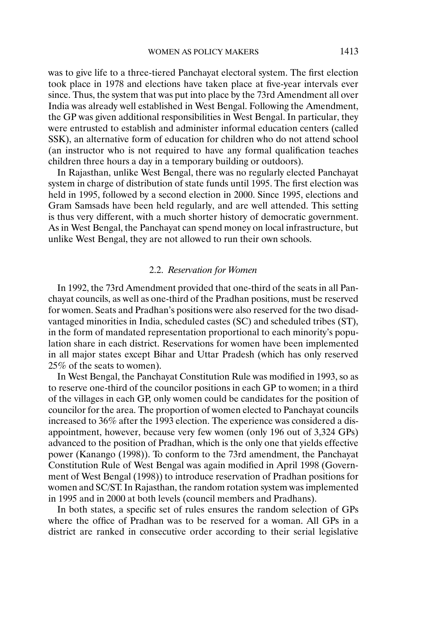was to give life to a three-tiered Panchayat electoral system. The first election took place in 1978 and elections have taken place at five-year intervals ever since. Thus, the system that was put into place by the 73rd Amendment all over India was already well established in West Bengal. Following the Amendment, the GP was given additional responsibilities in West Bengal. In particular, they were entrusted to establish and administer informal education centers (called SSK), an alternative form of education for children who do not attend school (an instructor who is not required to have any formal qualification teaches children three hours a day in a temporary building or outdoors).

In Rajasthan, unlike West Bengal, there was no regularly elected Panchayat system in charge of distribution of state funds until 1995. The first election was held in 1995, followed by a second election in 2000. Since 1995, elections and Gram Samsads have been held regularly, and are well attended. This setting is thus very different, with a much shorter history of democratic government. As in West Bengal, the Panchayat can spend money on local infrastructure, but unlike West Bengal, they are not allowed to run their own schools.

# 2.2. *Reservation for Women*

In 1992, the 73rd Amendment provided that one-third of the seats in all Panchayat councils, as well as one-third of the Pradhan positions, must be reserved for women. Seats and Pradhan's positions were also reserved for the two disadvantaged minorities in India, scheduled castes (SC) and scheduled tribes (ST), in the form of mandated representation proportional to each minority's population share in each district. Reservations for women have been implemented in all major states except Bihar and Uttar Pradesh (which has only reserved 25% of the seats to women).

In West Bengal, the Panchayat Constitution Rule was modified in 1993, so as to reserve one-third of the councilor positions in each GP to women; in a third of the villages in each GP, only women could be candidates for the position of councilor for the area. The proportion of women elected to Panchayat councils increased to 36% after the 1993 election. The experience was considered a disappointment, however, because very few women (only 196 out of 3,324 GPs) advanced to the position of Pradhan, which is the only one that yields effective power (Kanango (1998)). To conform to the 73rd amendment, the Panchayat Constitution Rule of West Bengal was again modified in April 1998 (Government of West Bengal (1998)) to introduce reservation of Pradhan positions for women and SC/ST. In Rajasthan, the random rotation system was implemented in 1995 and in 2000 at both levels (council members and Pradhans).

In both states, a specific set of rules ensures the random selection of GPs where the office of Pradhan was to be reserved for a woman. All GPs in a district are ranked in consecutive order according to their serial legislative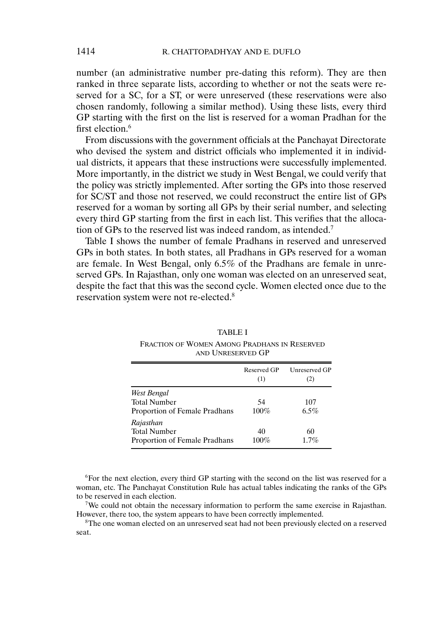number (an administrative number pre-dating this reform). They are then ranked in three separate lists, according to whether or not the seats were reserved for a SC, for a ST, or were unreserved (these reservations were also chosen randomly, following a similar method). Using these lists, every third GP starting with the first on the list is reserved for a woman Pradhan for the first election.<sup>6</sup>

From discussions with the government officials at the Panchayat Directorate who devised the system and district officials who implemented it in individual districts, it appears that these instructions were successfully implemented. More importantly, in the district we study in West Bengal, we could verify that the policy was strictly implemented. After sorting the GPs into those reserved for SC/ST and those not reserved, we could reconstruct the entire list of GPs reserved for a woman by sorting all GPs by their serial number, and selecting every third GP starting from the first in each list. This verifies that the allocation of GPs to the reserved list was indeed random, as intended.7

Table I shows the number of female Pradhans in reserved and unreserved GPs in both states. In both states, all Pradhans in GPs reserved for a woman are female. In West Bengal, only 6.5% of the Pradhans are female in unreserved GPs. In Rajasthan, only one woman was elected on an unreserved seat, despite the fact that this was the second cycle. Women elected once due to the reservation system were not re-elected.8

|                                                                     | Reserved GP<br>(1) | Unreserved GP<br>(2) |
|---------------------------------------------------------------------|--------------------|----------------------|
| West Bengal<br><b>Total Number</b><br>Proportion of Female Pradhans | 54<br>100%         | 107<br>6.5%          |
| Rajasthan<br><b>Total Number</b><br>Proportion of Female Pradhans   | 40<br>100%         | 60<br>1.7%           |

TABLE I FRACTION OF WOMEN AMONG PRADHANS IN RESERVED AND UNRESERVED GP

6For the next election, every third GP starting with the second on the list was reserved for a woman, etc. The Panchayat Constitution Rule has actual tables indicating the ranks of the GPs to be reserved in each election.

<sup>7</sup>We could not obtain the necessary information to perform the same exercise in Rajasthan. However, there too, the system appears to have been correctly implemented.

8The one woman elected on an unreserved seat had not been previously elected on a reserved seat.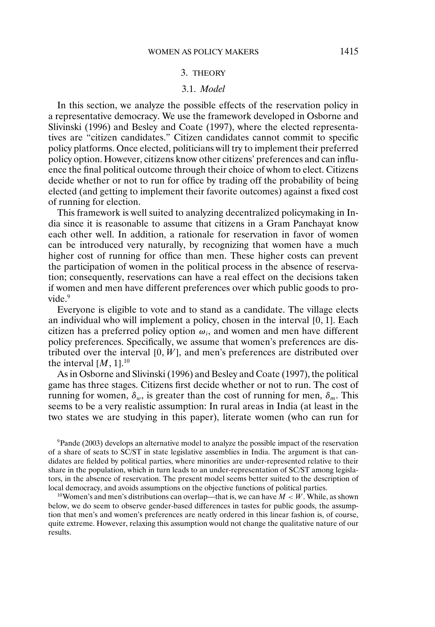## 3. THEORY

## 3.1. *Model*

In this section, we analyze the possible effects of the reservation policy in a representative democracy. We use the framework developed in Osborne and Slivinski (1996) and Besley and Coate (1997), where the elected representatives are "citizen candidates." Citizen candidates cannot commit to specific policy platforms. Once elected, politicians will try to implement their preferred policy option. However, citizens know other citizens' preferences and can influence the final political outcome through their choice of whom to elect. Citizens decide whether or not to run for office by trading off the probability of being elected (and getting to implement their favorite outcomes) against a fixed cost of running for election.

This framework is well suited to analyzing decentralized policymaking in India since it is reasonable to assume that citizens in a Gram Panchayat know each other well. In addition, a rationale for reservation in favor of women can be introduced very naturally, by recognizing that women have a much higher cost of running for office than men. These higher costs can prevent the participation of women in the political process in the absence of reservation; consequently, reservations can have a real effect on the decisions taken if women and men have different preferences over which public goods to provide.<sup>9</sup>

Everyone is eligible to vote and to stand as a candidate. The village elects an individual who will implement a policy, chosen in the interval  $[0, 1]$ . Each citizen has a preferred policy option  $\omega_i$ , and women and men have different policy preferences. Specifically, we assume that women's preferences are distributed over the interval  $[0, W]$ , and men's preferences are distributed over the interval  $[M, 1]$ .<sup>10</sup>

As in Osborne and Slivinski (1996) and Besley and Coate (1997), the political game has three stages. Citizens first decide whether or not to run. The cost of running for women,  $\delta_{w}$ , is greater than the cost of running for men,  $\delta_{w}$ . This seems to be a very realistic assumption: In rural areas in India (at least in the two states we are studying in this paper), literate women (who can run for

9Pande (2003) develops an alternative model to analyze the possible impact of the reservation of a share of seats to SC/ST in state legislative assemblies in India. The argument is that candidates are fielded by political parties, where minorities are under-represented relative to their share in the population, which in turn leads to an under-representation of SC/ST among legislators, in the absence of reservation. The present model seems better suited to the description of local democracy, and avoids assumptions on the objective functions of political parties.

<sup>10</sup>Women's and men's distributions can overlap—that is, we can have  $M < W$ . While, as shown below, we do seem to observe gender-based differences in tastes for public goods, the assumption that men's and women's preferences are neatly ordered in this linear fashion is, of course, quite extreme. However, relaxing this assumption would not change the qualitative nature of our results.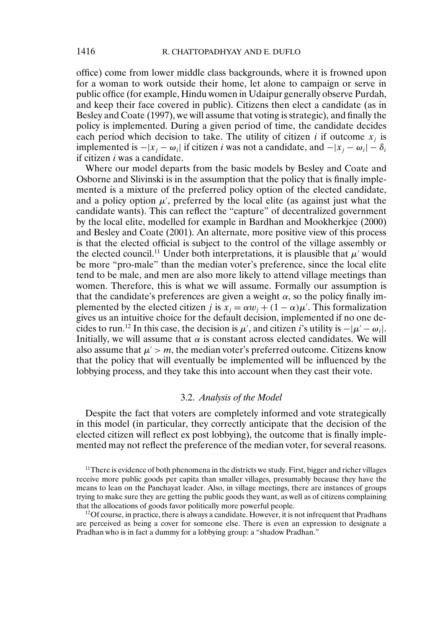office) come from lower middle class backgrounds, where it is frowned upon for a woman to work outside their home, let alone to campaign or serve in public office (for example, Hindu women in Udaipur generally observe Purdah, and keep their face covered in public). Citizens then elect a candidate (as in Besley and Coate (1997), we will assume that voting is strategic), and finally the policy is implemented. During a given period of time, the candidate decides each period which decision to take. The utility of citizen i if outcome  $x_i$  is implemented is  $-|x_i - \omega_i|$  if citizen *i* was not a candidate, and  $-|x_i - \omega_i| - \delta_i$ if citizen  $i$  was a candidate.

Where our model departs from the basic models by Besley and Coate and Osborne and Slivinski is in the assumption that the policy that is finally implemented is a mixture of the preferred policy option of the elected candidate, and a policy option  $\mu'$ , preferred by the local elite (as against just what the candidate wants). This can reflect the "capture" of decentralized government by the local elite, modelled for example in Bardhan and Mookherkjee (2000) and Besley and Coate (2001). An alternate, more positive view of this process is that the elected official is subject to the control of the village assembly or the elected council.<sup>11</sup> Under both interpretations, it is plausible that  $\mu'$  would be more "pro-male" than the median voter's preference, since the local elite tend to be male, and men are also more likely to attend village meetings than women. Therefore, this is what we will assume. Formally our assumption is that the candidate's preferences are given a weight  $\alpha$ , so the policy finally implemented by the elected citizen j is  $x_j = \alpha w_j + (1 - \alpha)\mu'$ . This formalization gives us an intuitive choice for the default decision, implemented if no one decides to run.<sup>12</sup> In this case, the decision is  $\mu'$ , and citizen *i*'s utility is  $-|\mu'-\omega_i|$ . Initially, we will assume that  $\alpha$  is constant across elected candidates. We will also assume that  $\mu' > m$ , the median voter's preferred outcome. Citizens know that the policy that will eventually be implemented will be influenced by the lobbying process, and they take this into account when they cast their vote.

#### 3.2. *Analysis of the Model*

Despite the fact that voters are completely informed and vote strategically in this model (in particular, they correctly anticipate that the decision of the elected citizen will reflect ex post lobbying), the outcome that is finally implemented may not reflect the preference of the median voter, for several reasons.

 $12^1$ Of course, in practice, there is always a candidate. However, it is not infrequent that Pradhans are perceived as being a cover for someone else. There is even an expression to designate a Pradhan who is in fact a dummy for a lobbying group: a "shadow Pradhan."

 $<sup>11</sup>$ There is evidence of both phenomena in the districts we study. First, bigger and richer villages</sup> receive more public goods per capita than smaller villages, presumably because they have the means to lean on the Panchayat leader. Also, in village meetings, there are instances of groups trying to make sure they are getting the public goods they want, as well as of citizens complaining that the allocations of goods favor politically more powerful people.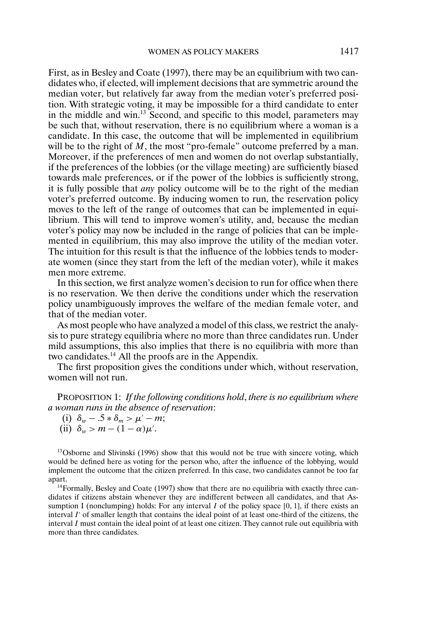First, as in Besley and Coate (1997), there may be an equilibrium with two candidates who, if elected, will implement decisions that are symmetric around the median voter, but relatively far away from the median voter's preferred position. With strategic voting, it may be impossible for a third candidate to enter in the middle and win.13 Second, and specific to this model, parameters may be such that, without reservation, there is no equilibrium where a woman is a candidate. In this case, the outcome that will be implemented in equilibrium will be to the right of  $M$ , the most "pro-female" outcome preferred by a man. Moreover, if the preferences of men and women do not overlap substantially, if the preferences of the lobbies (or the village meeting) are sufficiently biased towards male preferences, or if the power of the lobbies is sufficiently strong, it is fully possible that *any* policy outcome will be to the right of the median voter's preferred outcome. By inducing women to run, the reservation policy moves to the left of the range of outcomes that can be implemented in equilibrium. This will tend to improve women's utility, and, because the median voter's policy may now be included in the range of policies that can be implemented in equilibrium, this may also improve the utility of the median voter. The intuition for this result is that the influence of the lobbies tends to moderate women (since they start from the left of the median voter), while it makes men more extreme.

In this section, we first analyze women's decision to run for office when there is no reservation. We then derive the conditions under which the reservation policy unambiguously improves the welfare of the median female voter, and that of the median voter.

As most people who have analyzed a model of this class, we restrict the analysis to pure strategy equilibria where no more than three candidates run. Under mild assumptions, this also implies that there is no equilibria with more than two candidates.14 All the proofs are in the Appendix.

The first proposition gives the conditions under which, without reservation, women will not run.

PROPOSITION 1: *If the following conditions hold*, *there is no equilibrium where a woman runs in the absence of reservation*:

- (i)  $\delta_w .5 * \delta_m > \mu' m;$
- (ii)  $\delta_w > m (1 \alpha)\mu'$ .

<sup>13</sup>Osborne and Slivinski (1996) show that this would not be true with sincere voting, which would be defined here as voting for the person who, after the influence of the lobbying, would implement the outcome that the citizen preferred. In this case, two candidates cannot be too far apart.

<sup>14</sup>Formally, Besley and Coate (1997) show that there are no equilibria with exactly three candidates if citizens abstain whenever they are indifferent between all candidates, and that Assumption I (nonclumping) holds: For any interval I of the policy space  $[0, 1]$ , if there exists an interval  $I'$  of smaller length that contains the ideal point of at least one-third of the citizens, the interval I must contain the ideal point of at least one citizen. They cannot rule out equilibria with more than three candidates.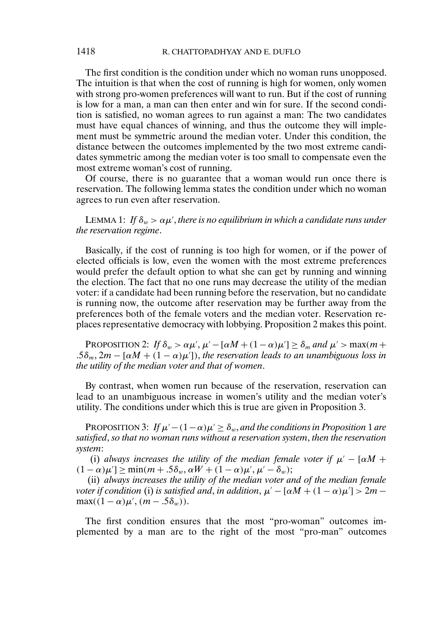The first condition is the condition under which no woman runs unopposed. The intuition is that when the cost of running is high for women, only women with strong pro-women preferences will want to run. But if the cost of running is low for a man, a man can then enter and win for sure. If the second condition is satisfied, no woman agrees to run against a man: The two candidates must have equal chances of winning, and thus the outcome they will implement must be symmetric around the median voter. Under this condition, the distance between the outcomes implemented by the two most extreme candidates symmetric among the median voter is too small to compensate even the most extreme woman's cost of running.

Of course, there is no guarantee that a woman would run once there is reservation. The following lemma states the condition under which no woman agrees to run even after reservation.

LEMMA  $1: If  $\delta_w > \alpha \mu'$ , there is no equilibrium in which a candidate runs under$ *the reservation regime*.

Basically, if the cost of running is too high for women, or if the power of elected officials is low, even the women with the most extreme preferences would prefer the default option to what she can get by running and winning the election. The fact that no one runs may decrease the utility of the median voter: if a candidate had been running before the reservation, but no candidate is running now, the outcome after reservation may be further away from the preferences both of the female voters and the median voter. Reservation replaces representative democracy with lobbying. Proposition 2 makes this point.

PROPOSITION 2: *If*  $\delta_w > \alpha \mu'$ ,  $\mu' - [\alpha M + (1 - \alpha) \mu'] \ge \delta_m$  and  $\mu' > \max(m + \delta_m)$ .5 $\delta_m$ ,  $2m - [\alpha M + (1 - \alpha)\mu']$ , the reservation leads to an unambiguous loss in *the utility of the median voter and that of women*.

By contrast, when women run because of the reservation, reservation can lead to an unambiguous increase in women's utility and the median voter's utility. The conditions under which this is true are given in Proposition 3.

PROPOSITION 3: *If*  $\mu' - (1 - \alpha)\mu' \geq \delta_w$ , and the conditions in Proposition 1 are *satisfied*, *so that no woman runs without a reservation system*, *then the reservation system*:

(i) always increases the utility of the median female voter if  $\mu' - [\alpha M +$  $(1-\alpha)\mu'$ ] ≥ min $(m+.5\delta_w, \alpha W + (1-\alpha)\mu', \mu' - \delta_w);$ 

(ii) *always increases the utility of the median voter and of the median female voter if condition* (i) *is satisfied and, in addition,*  $\mu' - [\alpha M + (1 - \alpha)\mu'] > 2m \max((1-\alpha)\mu', (m-.5\delta_w)).$ 

The first condition ensures that the most "pro-woman" outcomes implemented by a man are to the right of the most "pro-man" outcomes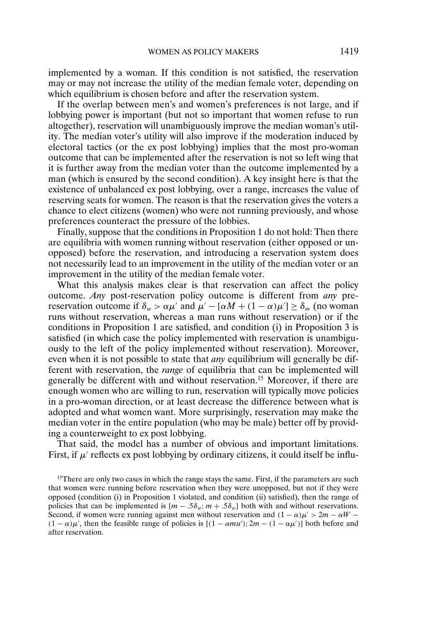implemented by a woman. If this condition is not satisfied, the reservation may or may not increase the utility of the median female voter, depending on which equilibrium is chosen before and after the reservation system.

If the overlap between men's and women's preferences is not large, and if lobbying power is important (but not so important that women refuse to run altogether), reservation will unambiguously improve the median woman's utility. The median voter's utility will also improve if the moderation induced by electoral tactics (or the ex post lobbying) implies that the most pro-woman outcome that can be implemented after the reservation is not so left wing that it is further away from the median voter than the outcome implemented by a man (which is ensured by the second condition). A key insight here is that the existence of unbalanced ex post lobbying, over a range, increases the value of reserving seats for women. The reason is that the reservation gives the voters a chance to elect citizens (women) who were not running previously, and whose preferences counteract the pressure of the lobbies.

Finally, suppose that the conditions in Proposition 1 do not hold: Then there are equilibria with women running without reservation (either opposed or unopposed) before the reservation, and introducing a reservation system does not necessarily lead to an improvement in the utility of the median voter or an improvement in the utility of the median female voter.

What this analysis makes clear is that reservation can affect the policy outcome. *Any* post-reservation policy outcome is different from *any* prereservation outcome if  $\delta_w > \alpha \mu'$  and  $\mu' - [\alpha M + (1 - \alpha) \mu'] \ge \delta_m$  (no woman runs without reservation, whereas a man runs without reservation) or if the conditions in Proposition 1 are satisfied, and condition (i) in Proposition 3 is satisfied (in which case the policy implemented with reservation is unambiguously to the left of the policy implemented without reservation). Moreover, even when it is not possible to state that *any* equilibrium will generally be different with reservation, the *range* of equilibria that can be implemented will generally be different with and without reservation.15 Moreover, if there are enough women who are willing to run, reservation will typically move policies in a pro-woman direction, or at least decrease the difference between what is adopted and what women want. More surprisingly, reservation may make the median voter in the entire population (who may be male) better off by providing a counterweight to ex post lobbying.

That said, the model has a number of obvious and important limitations. First, if  $\mu'$  reflects ex post lobbying by ordinary citizens, it could itself be influ-

<sup>&</sup>lt;sup>15</sup>There are only two cases in which the range stays the same. First, if the parameters are such that women were running before reservation when they were unopposed, but not if they were opposed (condition (i) in Proposition 1 violated, and condition (ii) satisfied), then the range of policies that can be implemented is  $[m - .5\delta_w; m + .5\delta_w]$  both with and without reservations. Second, if women were running against men without reservation and  $(1 - \alpha)\mu' > 2m - \alpha W (1 - \alpha)\mu'$ , then the feasible range of policies is  $[(1 - \alpha m u'); 2m - (1 - \alpha \mu')]$  both before and after reservation.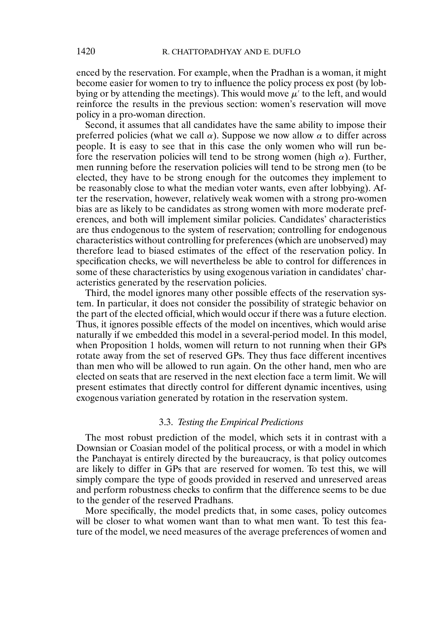enced by the reservation. For example, when the Pradhan is a woman, it might become easier for women to try to influence the policy process ex post (by lobbying or by attending the meetings). This would move  $\mu'$  to the left, and would reinforce the results in the previous section: women's reservation will move policy in a pro-woman direction.

Second, it assumes that all candidates have the same ability to impose their preferred policies (what we call  $\alpha$ ). Suppose we now allow  $\alpha$  to differ across people. It is easy to see that in this case the only women who will run before the reservation policies will tend to be strong women (high  $\alpha$ ). Further, men running before the reservation policies will tend to be strong men (to be elected, they have to be strong enough for the outcomes they implement to be reasonably close to what the median voter wants, even after lobbying). After the reservation, however, relatively weak women with a strong pro-women bias are as likely to be candidates as strong women with more moderate preferences, and both will implement similar policies. Candidates' characteristics are thus endogenous to the system of reservation; controlling for endogenous characteristics without controlling for preferences (which are unobserved) may therefore lead to biased estimates of the effect of the reservation policy. In specification checks, we will nevertheless be able to control for differences in some of these characteristics by using exogenous variation in candidates' characteristics generated by the reservation policies.

Third, the model ignores many other possible effects of the reservation system. In particular, it does not consider the possibility of strategic behavior on the part of the elected official, which would occur if there was a future election. Thus, it ignores possible effects of the model on incentives, which would arise naturally if we embedded this model in a several-period model. In this model, when Proposition 1 holds, women will return to not running when their GPs rotate away from the set of reserved GPs. They thus face different incentives than men who will be allowed to run again. On the other hand, men who are elected on seats that are reserved in the next election face a term limit. We will present estimates that directly control for different dynamic incentives, using exogenous variation generated by rotation in the reservation system.

# 3.3. *Testing the Empirical Predictions*

The most robust prediction of the model, which sets it in contrast with a Downsian or Coasian model of the political process, or with a model in which the Panchayat is entirely directed by the bureaucracy, is that policy outcomes are likely to differ in GPs that are reserved for women. To test this, we will simply compare the type of goods provided in reserved and unreserved areas and perform robustness checks to confirm that the difference seems to be due to the gender of the reserved Pradhans.

More specifically, the model predicts that, in some cases, policy outcomes will be closer to what women want than to what men want. To test this feature of the model, we need measures of the average preferences of women and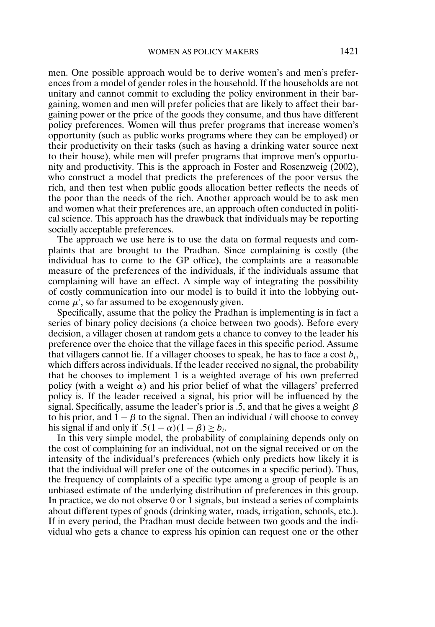men. One possible approach would be to derive women's and men's preferences from a model of gender roles in the household. If the households are not unitary and cannot commit to excluding the policy environment in their bargaining, women and men will prefer policies that are likely to affect their bargaining power or the price of the goods they consume, and thus have different policy preferences. Women will thus prefer programs that increase women's opportunity (such as public works programs where they can be employed) or their productivity on their tasks (such as having a drinking water source next to their house), while men will prefer programs that improve men's opportunity and productivity. This is the approach in Foster and Rosenzweig (2002), who construct a model that predicts the preferences of the poor versus the rich, and then test when public goods allocation better reflects the needs of the poor than the needs of the rich. Another approach would be to ask men and women what their preferences are, an approach often conducted in political science. This approach has the drawback that individuals may be reporting socially acceptable preferences.

The approach we use here is to use the data on formal requests and complaints that are brought to the Pradhan. Since complaining is costly (the individual has to come to the GP office), the complaints are a reasonable measure of the preferences of the individuals, if the individuals assume that complaining will have an effect. A simple way of integrating the possibility of costly communication into our model is to build it into the lobbying outcome  $\mu'$ , so far assumed to be exogenously given.

Specifically, assume that the policy the Pradhan is implementing is in fact a series of binary policy decisions (a choice between two goods). Before every decision, a villager chosen at random gets a chance to convey to the leader his preference over the choice that the village faces in this specific period. Assume that villagers cannot lie. If a villager chooses to speak, he has to face a cost  $b_i$ , which differs across individuals. If the leader received no signal, the probability that he chooses to implement 1 is a weighted average of his own preferred policy (with a weight  $\alpha$ ) and his prior belief of what the villagers' preferred policy is. If the leader received a signal, his prior will be influenced by the signal. Specifically, assume the leader's prior is .5, and that he gives a weight  $\beta$ to his prior, and  $1 - \beta$  to the signal. Then an individual *i* will choose to convey his signal if and only if  $.5(1 - \alpha)(1 - \beta) > b_i$ .

In this very simple model, the probability of complaining depends only on the cost of complaining for an individual, not on the signal received or on the intensity of the individual's preferences (which only predicts how likely it is that the individual will prefer one of the outcomes in a specific period). Thus, the frequency of complaints of a specific type among a group of people is an unbiased estimate of the underlying distribution of preferences in this group. In practice, we do not observe 0 or 1 signals, but instead a series of complaints about different types of goods (drinking water, roads, irrigation, schools, etc.). If in every period, the Pradhan must decide between two goods and the individual who gets a chance to express his opinion can request one or the other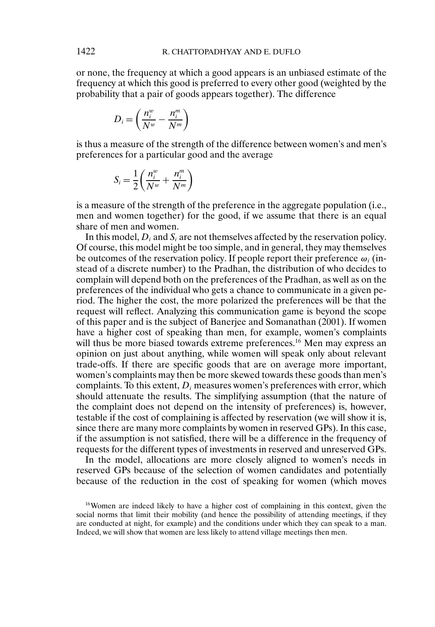or none, the frequency at which a good appears is an unbiased estimate of the frequency at which this good is preferred to every other good (weighted by the probability that a pair of goods appears together). The difference

$$
D_i = \left(\frac{n_i^w}{N^w} - \frac{n_i^m}{N^m}\right)
$$

is thus a measure of the strength of the difference between women's and men's preferences for a particular good and the average

$$
S_i = \frac{1}{2} \left( \frac{n_i^w}{N^w} + \frac{n_i^m}{N^m} \right)
$$

is a measure of the strength of the preference in the aggregate population (i.e., men and women together) for the good, if we assume that there is an equal share of men and women.

In this model,  $D_i$  and  $S_i$  are not themselves affected by the reservation policy. Of course, this model might be too simple, and in general, they may themselves be outcomes of the reservation policy. If people report their preference  $\omega_i$  (instead of a discrete number) to the Pradhan, the distribution of who decides to complain will depend both on the preferences of the Pradhan, as well as on the preferences of the individual who gets a chance to communicate in a given period. The higher the cost, the more polarized the preferences will be that the request will reflect. Analyzing this communication game is beyond the scope of this paper and is the subject of Banerjee and Somanathan (2001). If women have a higher cost of speaking than men, for example, women's complaints will thus be more biased towards extreme preferences.<sup>16</sup> Men may express an opinion on just about anything, while women will speak only about relevant trade-offs. If there are specific goods that are on average more important, women's complaints may then be more skewed towards these goods than men's complaints. To this extent,  $D_i$  measures women's preferences with error, which should attenuate the results. The simplifying assumption (that the nature of the complaint does not depend on the intensity of preferences) is, however, testable if the cost of complaining is affected by reservation (we will show it is, since there are many more complaints by women in reserved GPs). In this case, if the assumption is not satisfied, there will be a difference in the frequency of requests for the different types of investments in reserved and unreserved GPs.

In the model, allocations are more closely aligned to women's needs in reserved GPs because of the selection of women candidates and potentially because of the reduction in the cost of speaking for women (which moves

<sup>16</sup>Women are indeed likely to have a higher cost of complaining in this context, given the social norms that limit their mobility (and hence the possibility of attending meetings, if they are conducted at night, for example) and the conditions under which they can speak to a man. Indeed, we will show that women are less likely to attend village meetings then men.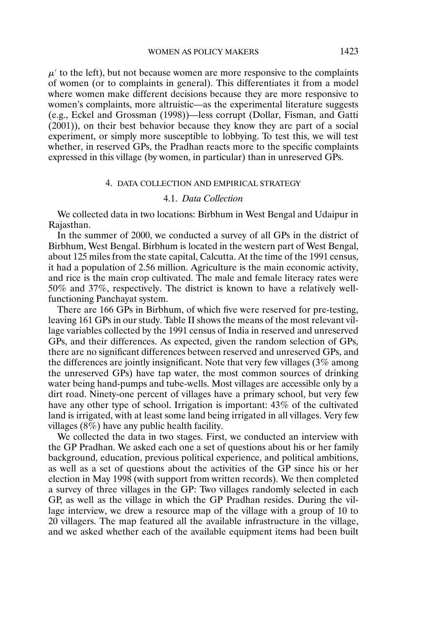$\mu'$  to the left), but not because women are more responsive to the complaints of women (or to complaints in general). This differentiates it from a model where women make different decisions because they are more responsive to women's complaints, more altruistic—as the experimental literature suggests (e.g., Eckel and Grossman (1998))—less corrupt (Dollar, Fisman, and Gatti (2001)), on their best behavior because they know they are part of a social experiment, or simply more susceptible to lobbying. To test this, we will test whether, in reserved GPs, the Pradhan reacts more to the specific complaints expressed in this village (by women, in particular) than in unreserved GPs.

#### 4. DATA COLLECTION AND EMPIRICAL STRATEGY

## 4.1. *Data Collection*

We collected data in two locations: Birbhum in West Bengal and Udaipur in Rajasthan.

In the summer of 2000, we conducted a survey of all GPs in the district of Birbhum, West Bengal. Birbhum is located in the western part of West Bengal, about 125 miles from the state capital, Calcutta. At the time of the 1991 census, it had a population of 2.56 million. Agriculture is the main economic activity, and rice is the main crop cultivated. The male and female literacy rates were 50% and 37%, respectively. The district is known to have a relatively wellfunctioning Panchayat system.

There are 166 GPs in Birbhum, of which five were reserved for pre-testing, leaving 161 GPs in our study. Table II shows the means of the most relevant village variables collected by the 1991 census of India in reserved and unreserved GPs, and their differences. As expected, given the random selection of GPs, there are no significant differences between reserved and unreserved GPs, and the differences are jointly insignificant. Note that very few villages (3% among the unreserved GPs) have tap water, the most common sources of drinking water being hand-pumps and tube-wells. Most villages are accessible only by a dirt road. Ninety-one percent of villages have a primary school, but very few have any other type of school. Irrigation is important: 43% of the cultivated land is irrigated, with at least some land being irrigated in all villages. Very few villages (8%) have any public health facility.

We collected the data in two stages. First, we conducted an interview with the GP Pradhan. We asked each one a set of questions about his or her family background, education, previous political experience, and political ambitions, as well as a set of questions about the activities of the GP since his or her election in May 1998 (with support from written records). We then completed a survey of three villages in the GP: Two villages randomly selected in each GP, as well as the village in which the GP Pradhan resides. During the village interview, we drew a resource map of the village with a group of 10 to 20 villagers. The map featured all the available infrastructure in the village, and we asked whether each of the available equipment items had been built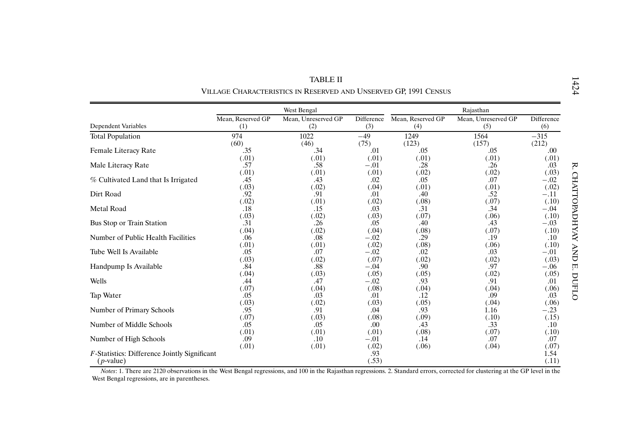|                                                                  |                   | TABLE II            |            |                   |                     |            |  |  |
|------------------------------------------------------------------|-------------------|---------------------|------------|-------------------|---------------------|------------|--|--|
| VILLAGE CHARACTERISTICS IN RESERVED AND UNSERVED GP, 1991 CENSUS |                   |                     |            |                   |                     |            |  |  |
|                                                                  | West Bengal       |                     |            | Rajasthan         |                     |            |  |  |
|                                                                  | Mean, Reserved GP | Mean, Unreserved GP | Difference | Mean, Reserved GP | Mean, Unreserved GP | Difference |  |  |
| <b>Dependent Variables</b>                                       | (1)               | (2)                 | (3)        | (4)               | (5)                 | (6)        |  |  |
| <b>Total Population</b>                                          | 974               | 1022                | $-49$      | 1249              | 1564                | $-315$     |  |  |
|                                                                  | (60)              | (46)                | (75)       | (123)             | (157)               | (212)      |  |  |
| Female Literacy Rate                                             | .35               | .34                 | .01        | .05               | .05                 | .00        |  |  |
|                                                                  | (.01)             | (.01)               | (.01)      | (.01)             | (.01)               | (.01)      |  |  |
| Male Literacy Rate                                               | .57               | .58                 | $-.01$     | .28               | .26                 | .03        |  |  |
|                                                                  | (.01)             | (.01)               | (.01)      | (.02)             | (.02)               | (.03)      |  |  |
| % Cultivated Land that Is Irrigated                              | .45               | .43                 | .02        | .05               | .07                 | $-.02$     |  |  |
|                                                                  | (.03)             | (.02)               | (.04)      | (.01)             | (.01)               | (.02)      |  |  |
| Dirt Road                                                        | .92               | .91                 | .01        | .40               | .52                 | $-.11$     |  |  |
|                                                                  | (.02)             | (.01)               | (.02)      | (.08)             | (.07)               | (.10)      |  |  |
| Metal Road                                                       | .18               | .15                 | .03        | .31               | .34                 | $-.04$     |  |  |
|                                                                  | (.03)             | (.02)               | (.03)      | (.07)             | (.06)               | (.10)      |  |  |
| Bus Stop or Train Station                                        | .31               | .26                 | .05        | .40               | .43                 | $-.03$     |  |  |
|                                                                  | (.04)             | (.02)               | (.04)      | (.08)             | (.07)               | (.10)      |  |  |
| Number of Public Health Facilities                               | .06               | .08                 | $-.02$     | .29               | .19                 | .10        |  |  |
|                                                                  | (.01)             | (.01)               | (.02)      | (.08)             | (.06)               | (.10)      |  |  |
| Tube Well Is Available                                           | .05               | .07                 | $-.02$     | .02               | .03                 | $-.01$     |  |  |
|                                                                  | (.03)             | (.02)               | (.07)      | (.02)             | (.02)               | (.03)      |  |  |
| Handpump Is Available                                            | .84               | .88                 | $-.04$     | .90               | .97                 | $-.06$     |  |  |
|                                                                  | (.04)             | (.03)               | (.05)      | (.05)             | (.02)               | (.05)      |  |  |
| Wells                                                            | .44               | .47                 | $-.02$     | .93               | .91                 | .01        |  |  |
|                                                                  | (.07)             | (.04)               | (.08)      | (.04)             | (.04)               | (.06)      |  |  |
| Tap Water                                                        | .05               | .03                 | .01        | .12               | .09                 | .03        |  |  |
|                                                                  | (.03)             | (.02)               | (.03)      | (.05)             | (.04)               | (.06)      |  |  |
| Number of Primary Schools                                        | .95               | .91                 | .04        | .93               | 1.16                | $-.23$     |  |  |
|                                                                  | (.07)             | (.03)               | (.08)      | (.09)             | (.10)               | (.15)      |  |  |
| Number of Middle Schools                                         | .05               | .05                 | .00        | .43               | .33                 | .10        |  |  |
|                                                                  | (.01)             | (.01)               | (.01)      | (.08)             | (.07)               | (.10)      |  |  |
| Number of High Schools                                           | .09               | .10                 | $-.01$     | .14               | .07                 | .07        |  |  |
|                                                                  | (.01)             | (.01)               | (.02)      | (.06)             | (.04)               | (.07)      |  |  |
| <i>F</i> -Statistics: Difference Jointly Significant             |                   |                     | .93        |                   |                     | 1.54       |  |  |
| $(p$ -value)                                                     |                   |                     | (.53)      |                   |                     | (.11)      |  |  |

| TABLE II                                                         |  |
|------------------------------------------------------------------|--|
| VILLAGE CHARACTERISTICS IN RESERVED AND UNSERVED GP. 1991 CENSUS |  |

*Notes*: 1. There are 2120 observations in the West Bengal regressions, and 100 in the Rajasthan regressions. 2. Standard errors, corrected for clustering at the GP level in the West Bengal regressions, are in parentheses.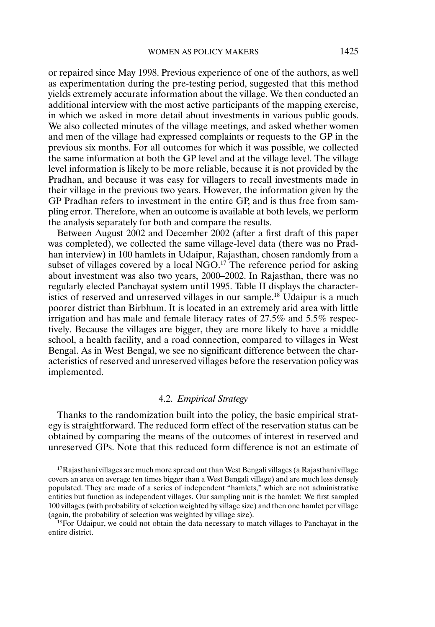or repaired since May 1998. Previous experience of one of the authors, as well as experimentation during the pre-testing period, suggested that this method yields extremely accurate information about the village. We then conducted an additional interview with the most active participants of the mapping exercise, in which we asked in more detail about investments in various public goods. We also collected minutes of the village meetings, and asked whether women and men of the village had expressed complaints or requests to the GP in the previous six months. For all outcomes for which it was possible, we collected the same information at both the GP level and at the village level. The village level information is likely to be more reliable, because it is not provided by the Pradhan, and because it was easy for villagers to recall investments made in their village in the previous two years. However, the information given by the GP Pradhan refers to investment in the entire GP, and is thus free from sampling error. Therefore, when an outcome is available at both levels, we perform the analysis separately for both and compare the results.

Between August 2002 and December 2002 (after a first draft of this paper was completed), we collected the same village-level data (there was no Pradhan interview) in 100 hamlets in Udaipur, Rajasthan, chosen randomly from a subset of villages covered by a local  $\overline{NGO}$ .<sup>17</sup> The reference period for asking about investment was also two years, 2000–2002. In Rajasthan, there was no regularly elected Panchayat system until 1995. Table II displays the characteristics of reserved and unreserved villages in our sample.<sup>18</sup> Udaipur is a much poorer district than Birbhum. It is located in an extremely arid area with little irrigation and has male and female literacy rates of 27.5% and 5.5% respectively. Because the villages are bigger, they are more likely to have a middle school, a health facility, and a road connection, compared to villages in West Bengal. As in West Bengal, we see no significant difference between the characteristics of reserved and unreserved villages before the reservation policy was implemented.

# 4.2. *Empirical Strategy*

Thanks to the randomization built into the policy, the basic empirical strategy is straightforward. The reduced form effect of the reservation status can be obtained by comparing the means of the outcomes of interest in reserved and unreserved GPs. Note that this reduced form difference is not an estimate of

 $18$  For Udaipur, we could not obtain the data necessary to match villages to Panchayat in the entire district.

<sup>&</sup>lt;sup>17</sup>Rajasthani villages are much more spread out than West Bengali villages (a Rajasthani village covers an area on average ten times bigger than a West Bengali village) and are much less densely populated. They are made of a series of independent "hamlets," which are not administrative entities but function as independent villages. Our sampling unit is the hamlet: We first sampled 100 villages (with probability of selection weighted by village size) and then one hamlet per village (again, the probability of selection was weighted by village size).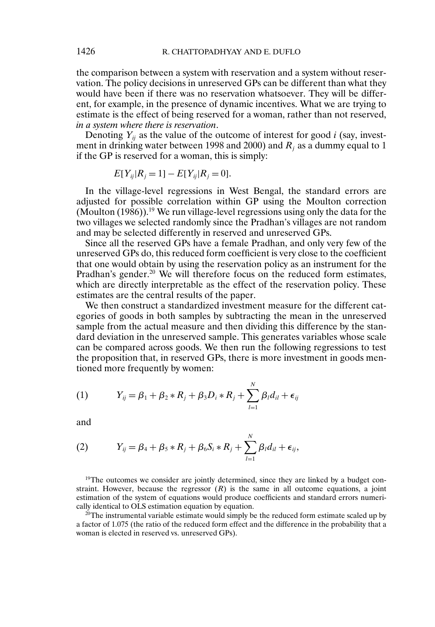the comparison between a system with reservation and a system without reservation. The policy decisions in unreserved GPs can be different than what they would have been if there was no reservation whatsoever. They will be different, for example, in the presence of dynamic incentives. What we are trying to estimate is the effect of being reserved for a woman, rather than not reserved, *in a system where there is reservation*.

Denoting  $Y_{ij}$  as the value of the outcome of interest for good i (say, investment in drinking water between 1998 and 2000) and  $R_i$  as a dummy equal to 1 if the GP is reserved for a woman, this is simply:

$$
E[Y_{ij}|R_j = 1] - E[Y_{ij}|R_j = 0].
$$

In the village-level regressions in West Bengal, the standard errors are adjusted for possible correlation within GP using the Moulton correction (Moulton  $(1986)$ ).<sup>19</sup> We run village-level regressions using only the data for the two villages we selected randomly since the Pradhan's villages are not random and may be selected differently in reserved and unreserved GPs.

Since all the reserved GPs have a female Pradhan, and only very few of the unreserved GPs do, this reduced form coefficient is very close to the coefficient that one would obtain by using the reservation policy as an instrument for the Pradhan's gender.<sup>20</sup> We will therefore focus on the reduced form estimates, which are directly interpretable as the effect of the reservation policy. These estimates are the central results of the paper.

We then construct a standardized investment measure for the different categories of goods in both samples by subtracting the mean in the unreserved sample from the actual measure and then dividing this difference by the standard deviation in the unreserved sample. This generates variables whose scale can be compared across goods. We then run the following regressions to test the proposition that, in reserved GPs, there is more investment in goods mentioned more frequently by women:

(1) 
$$
Y_{ij} = \beta_1 + \beta_2 * R_j + \beta_3 D_i * R_j + \sum_{l=1}^{N} \beta_l d_{il} + \epsilon_{ij}
$$

and

(2) 
$$
Y_{ij} = \beta_4 + \beta_5 * R_j + \beta_6 S_i * R_j + \sum_{l=1}^N \beta_l d_{il} + \epsilon_{ij},
$$

 $19$ The outcomes we consider are jointly determined, since they are linked by a budget constraint. However, because the regressor  $(R)$  is the same in all outcome equations, a joint estimation of the system of equations would produce coefficients and standard errors numerically identical to OLS estimation equation by equation.

 $20$ The instrumental variable estimate would simply be the reduced form estimate scaled up by a factor of 1.075 (the ratio of the reduced form effect and the difference in the probability that a woman is elected in reserved vs. unreserved GPs).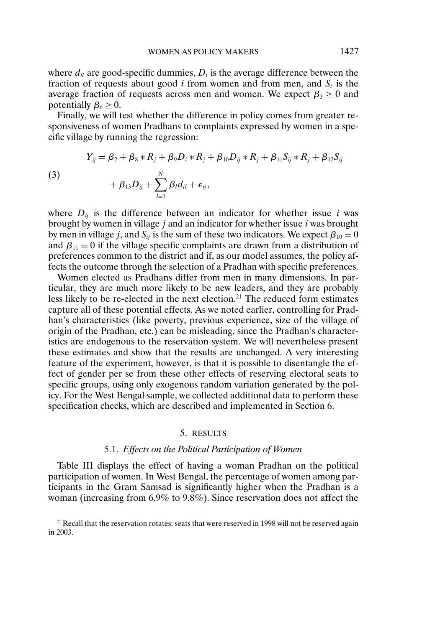where  $d_{il}$  are good-specific dummies,  $D_i$  is the average difference between the fraction of requests about good *i* from women and from men, and  $S_i$  is the average fraction of requests across men and women. We expect  $\beta_3 \geq 0$  and potentially  $\beta_6 \geq 0$ .

Finally, we will test whether the difference in policy comes from greater responsiveness of women Pradhans to complaints expressed by women in a specific village by running the regression:

(3)  
\n
$$
Y_{ij} = \beta_7 + \beta_8 * R_j + \beta_9 D_i * R_j + \beta_{10} D_{ij} * R_j + \beta_{11} S_{ij} * R_j + \beta_{12} S_{ij} + \beta_{13} D_{ij} + \sum_{l=1}^N \beta_l d_{il} + \epsilon_{ij},
$$

where  $D_{ij}$  is the difference between an indicator for whether issue i was brought by women in village j and an indicator for whether issue i was brought by men in village j, and  $S_{ii}$  is the sum of these two indicators. We expect  $\beta_{10} = 0$ and  $\beta_{11} = 0$  if the village specific complaints are drawn from a distribution of preferences common to the district and if, as our model assumes, the policy affects the outcome through the selection of a Pradhan with specific preferences.

Women elected as Pradhans differ from men in many dimensions. In particular, they are much more likely to be new leaders, and they are probably less likely to be re-elected in the next election. $21$  The reduced form estimates capture all of these potential effects. As we noted earlier, controlling for Pradhan's characteristics (like poverty, previous experience, size of the village of origin of the Pradhan, etc.) can be misleading, since the Pradhan's characteristics are endogenous to the reservation system. We will nevertheless present these estimates and show that the results are unchanged. A very interesting feature of the experiment, however, is that it is possible to disentangle the effect of gender per se from these other effects of reserving electoral seats to specific groups, using only exogenous random variation generated by the policy. For the West Bengal sample, we collected additional data to perform these specification checks, which are described and implemented in Section 6.

#### 5. RESULTS

#### 5.1. *Effects on the Political Participation of Women*

Table III displays the effect of having a woman Pradhan on the political participation of women. In West Bengal, the percentage of women among participants in the Gram Samsad is significantly higher when the Pradhan is a woman (increasing from 6.9% to 9.8%). Since reservation does not affect the

 $21$  Recall that the reservation rotates: seats that were reserved in 1998 will not be reserved again in 2003.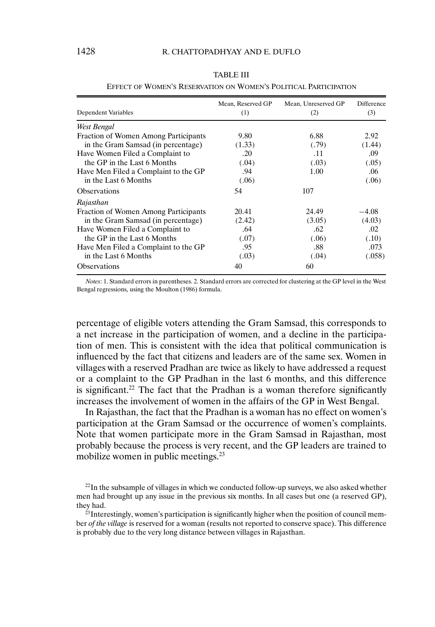| Dependent Variables                  | Mean, Reserved GP<br>(1) | Mean, Unreserved GP<br>(2) | Difference<br>(3) |
|--------------------------------------|--------------------------|----------------------------|-------------------|
| West Bengal                          |                          |                            |                   |
| Fraction of Women Among Participants | 9.80                     | 6.88                       | 2.92              |
| in the Gram Samsad (in percentage)   | (1.33)                   | (.79)                      | (1.44)            |
| Have Women Filed a Complaint to      | .20                      | .11                        | .09               |
| the GP in the Last 6 Months          | (.04)                    | (.03)                      | (.05)             |
| Have Men Filed a Complaint to the GP | .94                      | 1.00                       | .06               |
| in the Last 6 Months                 | (.06)                    |                            | (.06)             |
| <b>Observations</b>                  | 54                       | 107                        |                   |
| Rajasthan                            |                          |                            |                   |
| Fraction of Women Among Participants | 20.41                    | 24.49                      | $-4.08$           |
| in the Gram Samsad (in percentage)   | (2.42)                   | (3.05)                     | (4.03)            |
| Have Women Filed a Complaint to      | .64                      | .62                        | .02               |
| the GP in the Last 6 Months          | (.07)                    | (.06)                      | (.10)             |
| Have Men Filed a Complaint to the GP | .95                      | .88                        | .073              |
| in the Last 6 Months                 | (.03)                    | (.04)                      | (.058)            |
| <b>Observations</b>                  | 40                       | 60                         |                   |

# TABLE III

EFFECT OF WOMEN'S RESERVATION ON WOMEN'S POLITICAL PARTICIPATION

*Notes*: 1. Standard errors in parentheses. 2. Standard errors are corrected for clustering at the GP level in the West Bengal regressions, using the Moulton (1986) formula.

percentage of eligible voters attending the Gram Samsad, this corresponds to a net increase in the participation of women, and a decline in the participation of men. This is consistent with the idea that political communication is influenced by the fact that citizens and leaders are of the same sex. Women in villages with a reserved Pradhan are twice as likely to have addressed a request or a complaint to the GP Pradhan in the last 6 months, and this difference is significant.<sup>22</sup> The fact that the Pradhan is a woman therefore significantly increases the involvement of women in the affairs of the GP in West Bengal.

In Rajasthan, the fact that the Pradhan is a woman has no effect on women's participation at the Gram Samsad or the occurrence of women's complaints. Note that women participate more in the Gram Samsad in Rajasthan, most probably because the process is very recent, and the GP leaders are trained to mobilize women in public meetings.<sup>23</sup>

 $^{22}$ In the subsample of villages in which we conducted follow-up surveys, we also asked whether men had brought up any issue in the previous six months. In all cases but one (a reserved GP), they had.

 $^{23}$ Interestingly, women's participation is significantly higher when the position of council member *of the village* is reserved for a woman (results not reported to conserve space). This difference is probably due to the very long distance between villages in Rajasthan.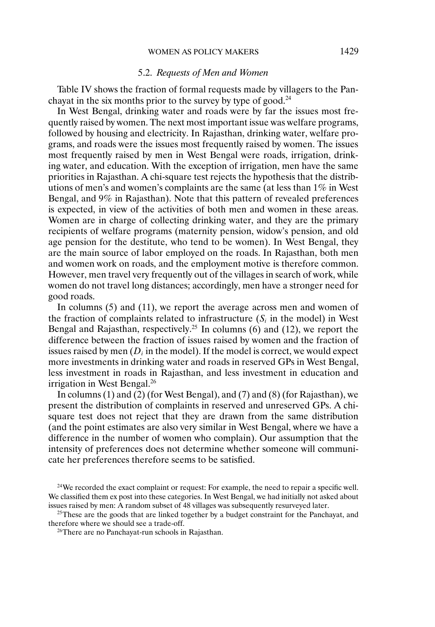# WOMEN AS POLICY MAKERS 1429

# 5.2. *Requests of Men and Women*

Table IV shows the fraction of formal requests made by villagers to the Panchayat in the six months prior to the survey by type of good.<sup>24</sup>

In West Bengal, drinking water and roads were by far the issues most frequently raised by women. The next most important issue was welfare programs, followed by housing and electricity. In Rajasthan, drinking water, welfare programs, and roads were the issues most frequently raised by women. The issues most frequently raised by men in West Bengal were roads, irrigation, drinking water, and education. With the exception of irrigation, men have the same priorities in Rajasthan. A chi-square test rejects the hypothesis that the distributions of men's and women's complaints are the same (at less than 1% in West Bengal, and 9% in Rajasthan). Note that this pattern of revealed preferences is expected, in view of the activities of both men and women in these areas. Women are in charge of collecting drinking water, and they are the primary recipients of welfare programs (maternity pension, widow's pension, and old age pension for the destitute, who tend to be women). In West Bengal, they are the main source of labor employed on the roads. In Rajasthan, both men and women work on roads, and the employment motive is therefore common. However, men travel very frequently out of the villages in search of work, while women do not travel long distances; accordingly, men have a stronger need for good roads.

In columns (5) and (11), we report the average across men and women of the fraction of complaints related to infrastructure  $(S<sub>i</sub>$  in the model) in West Bengal and Rajasthan, respectively.<sup>25</sup> In columns (6) and (12), we report the difference between the fraction of issues raised by women and the fraction of issues raised by men  $(D_i)$  in the model). If the model is correct, we would expect more investments in drinking water and roads in reserved GPs in West Bengal, less investment in roads in Rajasthan, and less investment in education and irrigation in West Bengal.26

In columns (1) and (2) (for West Bengal), and (7) and (8) (for Rajasthan), we present the distribution of complaints in reserved and unreserved GPs. A chisquare test does not reject that they are drawn from the same distribution (and the point estimates are also very similar in West Bengal, where we have a difference in the number of women who complain). Our assumption that the intensity of preferences does not determine whether someone will communicate her preferences therefore seems to be satisfied.

 $25$ These are the goods that are linked together by a budget constraint for the Panchayat, and therefore where we should see a trade-off.

26There are no Panchayat-run schools in Rajasthan.

<sup>&</sup>lt;sup>24</sup>We recorded the exact complaint or request: For example, the need to repair a specific well. We classified them ex post into these categories. In West Bengal, we had initially not asked about issues raised by men: A random subset of 48 villages was subsequently resurveyed later.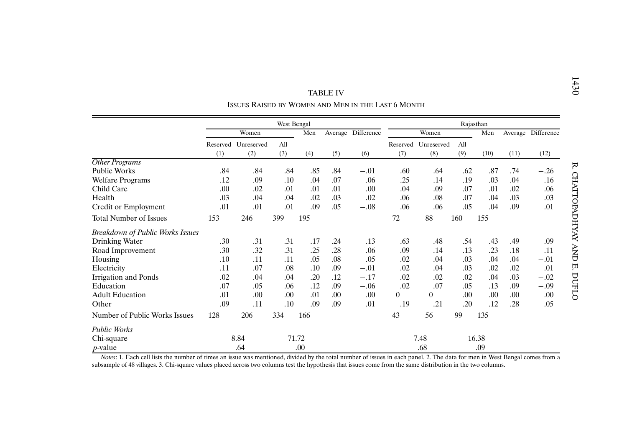|                                         |                     |       | West Bengal |     |                    |        |     |                     | Rajasthan |       |                    |        |
|-----------------------------------------|---------------------|-------|-------------|-----|--------------------|--------|-----|---------------------|-----------|-------|--------------------|--------|
|                                         |                     | Women |             | Men | Average Difference | Women  |     |                     | Men       |       | Average Difference |        |
|                                         | Reserved Unreserved |       | All         |     |                    |        |     | Reserved Unreserved | All       |       |                    |        |
|                                         | (1)                 | (2)   | (3)         | (4) | (5)                | (6)    | (7) | (8)                 | (9)       | (10)  | (11)               | (12)   |
| Other Programs                          |                     |       |             |     |                    |        |     |                     |           |       |                    |        |
| <b>Public Works</b>                     | .84                 | .84   | .84         | .85 | .84                | $-.01$ | .60 | .64                 | .62       | .87   | .74                | $-.26$ |
| <b>Welfare Programs</b>                 | .12                 | .09   | .10         | .04 | .07                | .06    | .25 | .14                 | .19       | .03   | .04                | .16    |
| Child Care                              | .00                 | .02   | .01         | .01 | .01                | .00    | .04 | .09                 | .07       | .01   | .02                | .06    |
| Health                                  | .03                 | .04   | .04         | .02 | .03                | .02    | .06 | .08                 | .07       | .04   | .03                | .03    |
| Credit or Employment                    | .01                 | .01   | .01         | .09 | .05                | $-.08$ | .06 | .06                 | .05       | .04   | .09                | .01    |
| <b>Total Number of Issues</b>           | 153                 | 246   | 399         | 195 |                    |        | 72  | 88                  | 160       | 155   |                    |        |
| <b>Breakdown of Public Works Issues</b> |                     |       |             |     |                    |        |     |                     |           |       |                    |        |
| Drinking Water                          | .30                 | .31   | .31         | .17 | .24                | .13    | .63 | .48                 | .54       | .43   | .49                | .09    |
| Road Improvement                        | .30                 | .32   | .31         | .25 | .28                | .06    | .09 | .14                 | .13       | .23   | .18                | $-.11$ |
| Housing                                 | .10                 | .11   | .11         | .05 | .08                | .05    | .02 | .04                 | .03       | .04   | .04                | $-.01$ |
| Electricity                             | .11                 | .07   | .08         | .10 | .09                | $-.01$ | .02 | .04                 | .03       | .02   | .02                | .01    |
| <b>Irrigation and Ponds</b>             | .02                 | .04   | .04         | .20 | .12                | $-.17$ | .02 | .02                 | .02       | .04   | .03                | $-.02$ |
| Education                               | .07                 | .05   | .06         | .12 | .09                | $-.06$ | .02 | .07                 | .05       | .13   | .09                | $-.09$ |
| <b>Adult Education</b>                  | .01                 | .00   | .00         | .01 | .00                | .00    | 0   | $\Omega$            | .00       | .00   | .00                | .00.   |
| Other                                   | .09                 | .11   | .10         | .09 | .09                | .01    | .19 | .21                 | .20       | .12   | .28                | .05    |
| Number of Public Works Issues           | 128                 | 206   | 334         | 166 |                    |        | 43  | 56                  | 99        | 135   |                    |        |
| <b>Public Works</b>                     |                     |       |             |     |                    |        |     |                     |           |       |                    |        |
| Chi-square                              |                     | 8.84  | 71.72       |     |                    |        |     | 7.48                |           | 16.38 |                    |        |
| $p$ -value                              |                     | .64   |             | .00 |                    |        |     | .68                 |           | .09   |                    |        |

*Notes*: 1. Each cell lists the number of times an issue was mentioned, divided by the total number of issues in each panel. 2. The data for men in West Bengal comes from <sup>a</sup> subsample of 48 villages. 3. Chi-square values placed across two columns test the hypothesis that issues come from the same distribution in the two columns.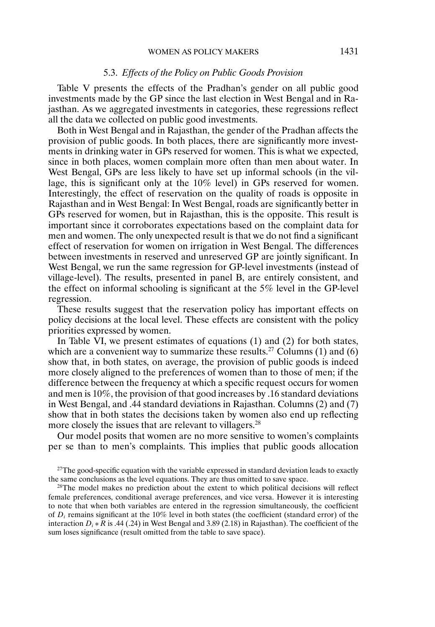# 5.3. *Effects of the Policy on Public Goods Provision*

Table V presents the effects of the Pradhan's gender on all public good investments made by the GP since the last election in West Bengal and in Rajasthan. As we aggregated investments in categories, these regressions reflect all the data we collected on public good investments.

Both in West Bengal and in Rajasthan, the gender of the Pradhan affects the provision of public goods. In both places, there are significantly more investments in drinking water in GPs reserved for women. This is what we expected, since in both places, women complain more often than men about water. In West Bengal, GPs are less likely to have set up informal schools (in the village, this is significant only at the 10% level) in GPs reserved for women. Interestingly, the effect of reservation on the quality of roads is opposite in Rajasthan and in West Bengal: In West Bengal, roads are significantly better in GPs reserved for women, but in Rajasthan, this is the opposite. This result is important since it corroborates expectations based on the complaint data for men and women. The only unexpected result is that we do not find a significant effect of reservation for women on irrigation in West Bengal. The differences between investments in reserved and unreserved GP are jointly significant. In West Bengal, we run the same regression for GP-level investments (instead of village-level). The results, presented in panel B, are entirely consistent, and the effect on informal schooling is significant at the 5% level in the GP-level regression.

These results suggest that the reservation policy has important effects on policy decisions at the local level. These effects are consistent with the policy priorities expressed by women.

In Table VI, we present estimates of equations (1) and (2) for both states, which are a convenient way to summarize these results.<sup>27</sup> Columns (1) and (6) show that, in both states, on average, the provision of public goods is indeed more closely aligned to the preferences of women than to those of men; if the difference between the frequency at which a specific request occurs for women and men is 10%, the provision of that good increases by .16 standard deviations in West Bengal, and .44 standard deviations in Rajasthan. Columns (2) and (7) show that in both states the decisions taken by women also end up reflecting more closely the issues that are relevant to villagers.<sup>28</sup>

Our model posits that women are no more sensitive to women's complaints per se than to men's complaints. This implies that public goods allocation

 $27$ The good-specific equation with the variable expressed in standard deviation leads to exactly the same conclusions as the level equations. They are thus omitted to save space.

<sup>28</sup>The model makes no prediction about the extent to which political decisions will reflect female preferences, conditional average preferences, and vice versa. However it is interesting to note that when both variables are entered in the regression simultaneously, the coefficient of  $D_i$  remains significant at the 10% level in both states (the coefficient (standard error) of the interaction  $D_i * R$  is .44 (.24) in West Bengal and 3.89 (2.18) in Rajasthan). The coefficient of the sum loses significance (result omitted from the table to save space).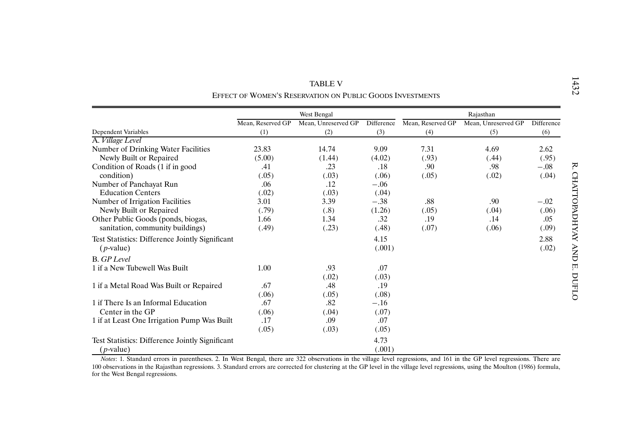| EFFECT OF WOMEN'S RESERVATION ON PUBLIC GOODS INVESTMENTS |                   |                     |                 |                   |                     |            |  |  |
|-----------------------------------------------------------|-------------------|---------------------|-----------------|-------------------|---------------------|------------|--|--|
|                                                           |                   | West Bengal         |                 |                   |                     |            |  |  |
|                                                           | Mean, Reserved GP | Mean, Unreserved GP | Difference      | Mean, Reserved GP | Mean, Unreserved GP | Difference |  |  |
| Dependent Variables                                       | (1)               | (2)                 | (3)             | (4)               | (5)                 | (6)        |  |  |
| A. Village Level                                          |                   |                     |                 |                   |                     |            |  |  |
| Number of Drinking Water Facilities                       | 23.83             | 14.74               | 9.09            | 7.31              | 4.69                | 2.62       |  |  |
| Newly Built or Repaired                                   | (5.00)            | (1.44)              | (4.02)          | (.93)             | (.44)               | (.95)      |  |  |
| Condition of Roads (1 if in good                          | .41               | .23                 | .18             | .90               | .98                 | $-.08$     |  |  |
| condition)                                                | (.05)             | (.03)               | (.06)           | (.05)             | (.02)               | (.04)      |  |  |
| Number of Panchayat Run                                   | .06               | .12                 | $-.06$          |                   |                     |            |  |  |
| <b>Education Centers</b>                                  | (.02)             | (.03)               | (.04)           |                   |                     |            |  |  |
| Number of Irrigation Facilities                           | 3.01              | 3.39                | $-.38$          | .88               | .90 <sub>0</sub>    | $-.02$     |  |  |
| Newly Built or Repaired                                   | (.79)             | (.8)                | (1.26)          | (.05)             | (.04)               | (.06)      |  |  |
| Other Public Goods (ponds, biogas,                        | 1.66              | 1.34                | .32             | .19               | .14                 | .05        |  |  |
| sanitation, community buildings)                          | (.49)             | (.23)               | (.48)           | (.07)             | (.06)               | (.09)      |  |  |
| Test Statistics: Difference Jointly Significant           |                   |                     | 4.15            |                   |                     | 2.88       |  |  |
| $(p$ -value)                                              |                   |                     | (.001)          |                   |                     | (.02)      |  |  |
| <b>B.</b> GP Level                                        |                   |                     |                 |                   |                     |            |  |  |
| 1 if a New Tubewell Was Built                             | 1.00              | .93                 | .07             |                   |                     |            |  |  |
|                                                           |                   |                     |                 |                   |                     |            |  |  |
|                                                           | .67               | (.02)<br>.48        | (.03)<br>.19    |                   |                     |            |  |  |
| 1 if a Metal Road Was Built or Repaired                   |                   |                     |                 |                   |                     |            |  |  |
| 1 if There Is an Informal Education                       | (.06)<br>.67      | (.05)<br>.82        | (.08)<br>$-.16$ |                   |                     |            |  |  |
| Center in the GP                                          |                   |                     |                 |                   |                     |            |  |  |
|                                                           | (.06)<br>.17      | (.04)<br>.09        | (.07)<br>.07    |                   |                     |            |  |  |
| 1 if at Least One Irrigation Pump Was Built               |                   |                     |                 |                   |                     |            |  |  |
|                                                           | (.05)             | (.03)               | (.05)           |                   |                     |            |  |  |
| Test Statistics: Difference Jointly Significant           |                   |                     | 4.73            |                   |                     |            |  |  |
| <i>(p</i> -value)                                         |                   |                     | (.001)          |                   |                     |            |  |  |

*Notes*: 1. Standard errors in parentheses. 2. In West Bengal, there are 322 observations in the village level regressions, and 161 in the GP level regressions. There are 100 observations in the Rajasthan regressions. 3. Standard errors are corrected for clustering at the GP level in the village level regressions, using the Moulton (1986) formula, for the West Bengal regressions.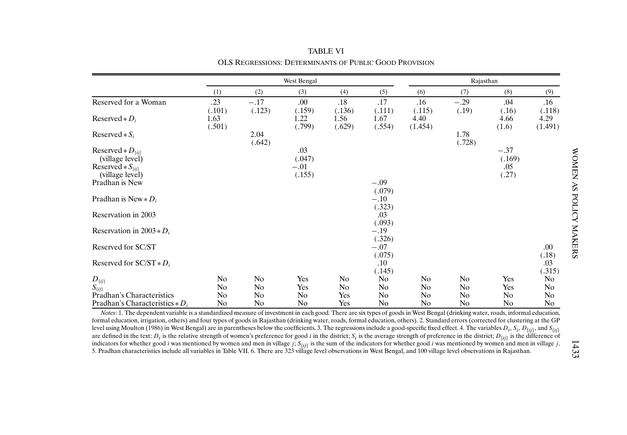|                                                               | West Bengal    |                  |                  |                |                            | Rajasthan       |                 |                  |                 |
|---------------------------------------------------------------|----------------|------------------|------------------|----------------|----------------------------|-----------------|-----------------|------------------|-----------------|
|                                                               | (1)            | (2)              | (3)              | (4)            | (5)                        | (6)             | (7)             | (8)              | (9)             |
| Reserved for a Woman                                          | .23<br>(.101)  | $-.17$<br>(.123) | .00<br>(.159)    | .18<br>(.136)  | .17<br>(.111)              | .16<br>(.115)   | $-.29$<br>(.19) | .04<br>(.16)     | .16<br>(.118)   |
| Reserved $*D_i$                                               | 1.63<br>(.501) |                  | 1.22<br>(.799)   | 1.56<br>(.629) | 1.67<br>(.554)             | 4.40<br>(1.454) |                 | 4.66<br>(1.6)    | 4.29<br>(1.491) |
| Reserved $S_i$                                                |                | 2.04<br>(.642)   |                  |                |                            |                 | 1.78<br>(.728)  |                  |                 |
| Reserved $*D_{\{ij\}}$<br>(village level)                     |                |                  | .03<br>(.047)    |                |                            |                 |                 | $-.37$<br>(.169) |                 |
| Reserved $S_{\{ii\}}$<br>(village level)<br>Pradhan is New    |                |                  | $-.01$<br>(.155) |                | $-.09$                     |                 |                 | .05<br>(.27)     |                 |
| Pradhan is New $D_i$                                          |                |                  |                  |                | (.079)<br>$-.10$           |                 |                 |                  |                 |
| Reservation in 2003                                           |                |                  |                  |                | (.323)<br>.03              |                 |                 |                  |                 |
| Reservation in $2003*D_i$                                     |                |                  |                  |                | (.093)<br>$-.19$<br>(.326) |                 |                 |                  |                 |
| Reserved for SC/ST                                            |                |                  |                  |                | $-.07$<br>(.075)           |                 |                 |                  | .00.<br>(.18)   |
| Reserved for $SC/ST * D_i$                                    |                |                  |                  |                | .10<br>(.145)              |                 |                 |                  | .03<br>(.315)   |
| $D_{\{ij\}}$                                                  | No             | N <sub>o</sub>   | Yes              | No             | No                         | N <sub>0</sub>  | No              | Yes              | No              |
| $S_{\{ij\}}$                                                  | No             | No               | Yes              | No             | No                         | No              | No              | Yes              | N <sub>0</sub>  |
| Pradhan's Characteristics<br>Pradhan's Characteristics $*D_i$ | No<br>No       | No<br>No         | No<br>No         | Yes<br>Yes     | No<br>No                   | No<br>No        | No<br>No        | No<br>No         | No<br>No        |

TABLE VI OLS REGRESSIONS: DETERMINANTS OF PUBLIC GOOD PROVISION

*Notes*: 1. The dependent variable is a standardized measure of investment in each good. There are six types of goods in West Bengal (drinking water, roads, informal education, formal education, irrigation, others) and four types of goods in Rajasthan (drinking water, roads, formal education, others). 2. Standard errors (corrected for clustering at the GP level using Moulton (1986) in West Bengal) are in parentheses below the coefficients. 3. The regressions include a good-specific fixed effect. 4. The variables  $D_i$ ,  $S_i$ ,  $D_{\{ij\}}$ , and  $S_{\{ij\}}$ are defined in the text:  $D_i$  is the relative strength of women's preference for good  $i$  in the district;  $S_i$  is the average strength of preference in the district;  $D_{\{ij\}}$  is the difference of indicators for whether good *i* was mentioned by women and men in village *j*; S<sub>{ij}</sub> is the sum of the indicators for whether good *i* was mentioned by women and men in village *j.*<br>5. Pradhan characteristics include all

WOMEN AS POLICY MAKERS WOMEN AS POLICY MAKERS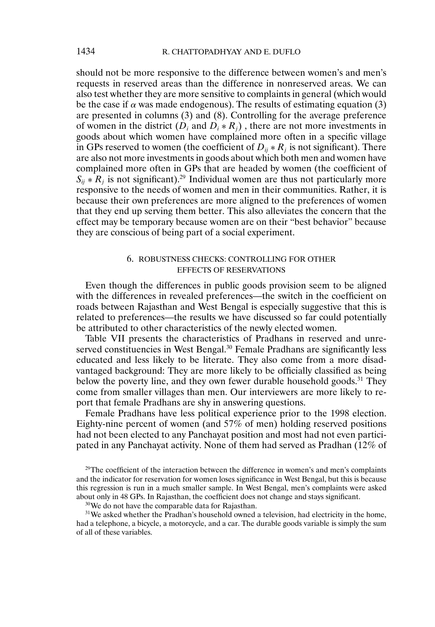should not be more responsive to the difference between women's and men's requests in reserved areas than the difference in nonreserved areas. We can also test whether they are more sensitive to complaints in general (which would be the case if  $\alpha$  was made endogenous). The results of estimating equation (3) are presented in columns (3) and (8). Controlling for the average preference of women in the district  $(D_i \text{ and } D_i * R_i)$ , there are not more investments in goods about which women have complained more often in a specific village in GPs reserved to women (the coefficient of  $D_{ij} * R_j$  is not significant). There are also not more investments in goods about which both men and women have complained more often in GPs that are headed by women (the coefficient of  $S_{ij} * R_j$  is not significant).<sup>29</sup> Individual women are thus not particularly more responsive to the needs of women and men in their communities. Rather, it is because their own preferences are more aligned to the preferences of women that they end up serving them better. This also alleviates the concern that the effect may be temporary because women are on their "best behavior" because they are conscious of being part of a social experiment.

## 6. ROBUSTNESS CHECKS: CONTROLLING FOR OTHER EFFECTS OF RESERVATIONS

Even though the differences in public goods provision seem to be aligned with the differences in revealed preferences—the switch in the coefficient on roads between Rajasthan and West Bengal is especially suggestive that this is related to preferences—the results we have discussed so far could potentially be attributed to other characteristics of the newly elected women.

Table VII presents the characteristics of Pradhans in reserved and unreserved constituencies in West Bengal.<sup>30</sup> Female Pradhans are significantly less educated and less likely to be literate. They also come from a more disadvantaged background: They are more likely to be officially classified as being below the poverty line, and they own fewer durable household goods.<sup>31</sup> They come from smaller villages than men. Our interviewers are more likely to report that female Pradhans are shy in answering questions.

Female Pradhans have less political experience prior to the 1998 election. Eighty-nine percent of women (and 57% of men) holding reserved positions had not been elected to any Panchayat position and most had not even participated in any Panchayat activity. None of them had served as Pradhan (12% of

 $29$ The coefficient of the interaction between the difference in women's and men's complaints and the indicator for reservation for women loses significance in West Bengal, but this is because this regression is run in a much smaller sample. In West Bengal, men's complaints were asked about only in 48 GPs. In Rajasthan, the coefficient does not change and stays significant.

30We do not have the comparable data for Rajasthan.

<sup>31</sup>We asked whether the Pradhan's household owned a television, had electricity in the home, had a telephone, a bicycle, a motorcycle, and a car. The durable goods variable is simply the sum of all of these variables.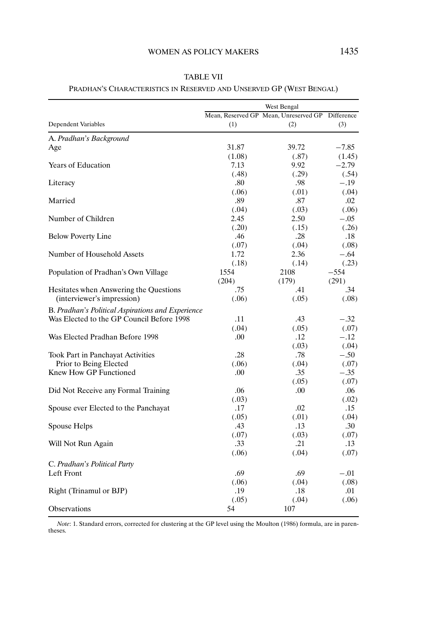#### TABLE VII

|                                                   | West Bengal |                                       |            |  |  |  |  |
|---------------------------------------------------|-------------|---------------------------------------|------------|--|--|--|--|
|                                                   |             | Mean, Reserved GP Mean, Unreserved GP | Difference |  |  |  |  |
| Dependent Variables                               | (1)         | (2)                                   | (3)        |  |  |  |  |
| A. Pradhan's Background                           |             |                                       |            |  |  |  |  |
| Age                                               | 31.87       | 39.72                                 | $-7.85$    |  |  |  |  |
|                                                   | (1.08)      | (.87)                                 | (1.45)     |  |  |  |  |
| Years of Education                                | 7.13        | 9.92                                  | $-2.79$    |  |  |  |  |
|                                                   | (.48)       | (.29)                                 | (.54)      |  |  |  |  |
| Literacy                                          | .80         | .98                                   | $-.19$     |  |  |  |  |
|                                                   | (.06)       | (.01)                                 | (.04)      |  |  |  |  |
| Married                                           | .89         | .87                                   | .02        |  |  |  |  |
|                                                   | (.04)       | (.03)                                 | (.06)      |  |  |  |  |
| Number of Children                                | 2.45        | 2.50                                  | $-.05$     |  |  |  |  |
|                                                   | (.20)       | (.15)                                 | (.26)      |  |  |  |  |
| <b>Below Poverty Line</b>                         | .46         | .28                                   | .18        |  |  |  |  |
|                                                   | (.07)       | (.04)                                 | (.08)      |  |  |  |  |
| Number of Household Assets                        | 1.72        | 2.36                                  | $-.64$     |  |  |  |  |
|                                                   | (.18)       | (.14)                                 | (.23)      |  |  |  |  |
| Population of Pradhan's Own Village               | 1554        | 2108                                  | $-554$     |  |  |  |  |
|                                                   | (204)       | (179)                                 | (291)      |  |  |  |  |
| Hesitates when Answering the Questions            | .75         | .41                                   | .34        |  |  |  |  |
| (interviewer's impression)                        | (.06)       | (.05)                                 | (.08)      |  |  |  |  |
|                                                   |             |                                       |            |  |  |  |  |
| B. Pradhan's Political Aspirations and Experience |             |                                       |            |  |  |  |  |
| Was Elected to the GP Council Before 1998         | .11         | .43                                   | $-.32$     |  |  |  |  |
|                                                   | (.04)       | (.05)                                 | (.07)      |  |  |  |  |
| Was Elected Pradhan Before 1998                   | .00.        | .12                                   | $-.12$     |  |  |  |  |
|                                                   |             | (.03)                                 | (.04)      |  |  |  |  |
| Took Part in Panchayat Activities                 | .28         | .78                                   | $-.50$     |  |  |  |  |
| Prior to Being Elected                            | (.06)       | (.04)                                 | (.07)      |  |  |  |  |
| Knew How GP Functioned                            | .00.        | .35                                   | $-.35$     |  |  |  |  |
|                                                   |             | (.05)                                 | (.07)      |  |  |  |  |
| Did Not Receive any Formal Training               | .06         | .00.                                  | .06        |  |  |  |  |
|                                                   | (.03)       |                                       | (.02)      |  |  |  |  |
| Spouse ever Elected to the Panchayat              | .17         | .02                                   | .15        |  |  |  |  |
|                                                   | (.05)       | (.01)                                 | (.04)      |  |  |  |  |
| Spouse Helps                                      | .43         | .13                                   | .30        |  |  |  |  |
|                                                   | (.07)       | (.03)                                 | (.07)      |  |  |  |  |
| Will Not Run Again                                | .33         | .21                                   | .13        |  |  |  |  |
|                                                   | (.06)       | (.04)                                 | (.07)      |  |  |  |  |
| C. Pradhan's Political Party                      |             |                                       |            |  |  |  |  |
| <b>Left Front</b>                                 | .69         | .69                                   | $-.01$     |  |  |  |  |
|                                                   | (.06)       | (.04)                                 | (.08)      |  |  |  |  |
| Right (Trinamul or BJP)                           | .19         | .18                                   | .01        |  |  |  |  |
|                                                   | (.05)       | (.04)                                 | (.06)      |  |  |  |  |
| Observations                                      | 54          | 107                                   |            |  |  |  |  |
|                                                   |             |                                       |            |  |  |  |  |

## PRADHAN'S CHARACTERISTICS IN RESERVED AND UNSERVED GP (WEST BENGAL)

*Note*: 1. Standard errors, corrected for clustering at the GP level using the Moulton (1986) formula, are in parentheses.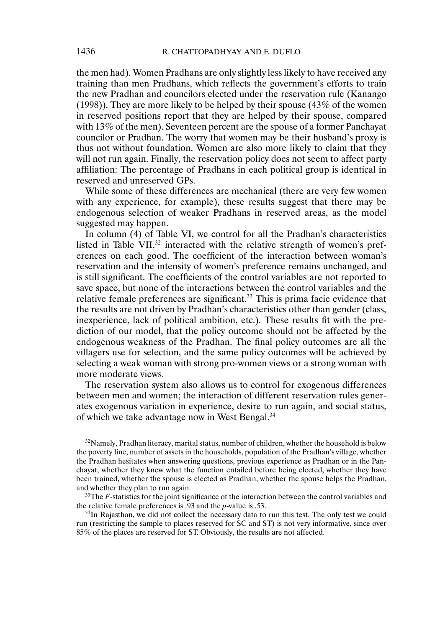the men had). Women Pradhans are only slightly less likely to have received any training than men Pradhans, which reflects the government's efforts to train the new Pradhan and councilors elected under the reservation rule (Kanango (1998)). They are more likely to be helped by their spouse (43% of the women in reserved positions report that they are helped by their spouse, compared with 13% of the men). Seventeen percent are the spouse of a former Panchayat councilor or Pradhan. The worry that women may be their husband's proxy is thus not without foundation. Women are also more likely to claim that they will not run again. Finally, the reservation policy does not seem to affect party affiliation: The percentage of Pradhans in each political group is identical in reserved and unreserved GPs.

While some of these differences are mechanical (there are very few women with any experience, for example), these results suggest that there may be endogenous selection of weaker Pradhans in reserved areas, as the model suggested may happen.

In column (4) of Table VI, we control for all the Pradhan's characteristics listed in Table VII, $32$  interacted with the relative strength of women's preferences on each good. The coefficient of the interaction between woman's reservation and the intensity of women's preference remains unchanged, and is still significant. The coefficients of the control variables are not reported to save space, but none of the interactions between the control variables and the relative female preferences are significant.<sup>33</sup> This is prima facie evidence that the results are not driven by Pradhan's characteristics other than gender (class, inexperience, lack of political ambition, etc.). These results fit with the prediction of our model, that the policy outcome should not be affected by the endogenous weakness of the Pradhan. The final policy outcomes are all the villagers use for selection, and the same policy outcomes will be achieved by selecting a weak woman with strong pro-women views or a strong woman with more moderate views.

The reservation system also allows us to control for exogenous differences between men and women; the interaction of different reservation rules generates exogenous variation in experience, desire to run again, and social status, of which we take advantage now in West Bengal.34

<sup>32</sup>Namely, Pradhan literacy, marital status, number of children, whether the household is below the poverty line, number of assets in the households, population of the Pradhan's village, whether the Pradhan hesitates when answering questions, previous experience as Pradhan or in the Panchayat, whether they knew what the function entailed before being elected, whether they have been trained, whether the spouse is elected as Pradhan, whether the spouse helps the Pradhan, and whether they plan to run again.

 $33$ The  $F$ -statistics for the joint significance of the interaction between the control variables and the relative female preferences is .93 and the *p*-value is .53.

<sup>34</sup>In Rajasthan, we did not collect the necessary data to run this test. The only test we could run (restricting the sample to places reserved for SC and ST) is not very informative, since over 85% of the places are reserved for ST. Obviously, the results are not affected.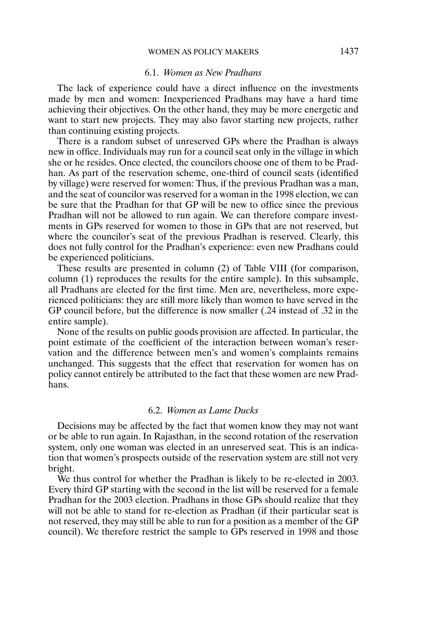# WOMEN AS POLICY MAKERS 1437

## 6.1. *Women as New Pradhans*

The lack of experience could have a direct influence on the investments made by men and women: Inexperienced Pradhans may have a hard time achieving their objectives. On the other hand, they may be more energetic and want to start new projects. They may also favor starting new projects, rather than continuing existing projects.

There is a random subset of unreserved GPs where the Pradhan is always new in office. Individuals may run for a council seat only in the village in which she or he resides. Once elected, the councilors choose one of them to be Pradhan. As part of the reservation scheme, one-third of council seats (identified by village) were reserved for women: Thus, if the previous Pradhan was a man, and the seat of councilor was reserved for a woman in the 1998 election, we can be sure that the Pradhan for that GP will be new to office since the previous Pradhan will not be allowed to run again. We can therefore compare investments in GPs reserved for women to those in GPs that are not reserved, but where the councilor's seat of the previous Pradhan is reserved. Clearly, this does not fully control for the Pradhan's experience: even new Pradhans could be experienced politicians.

These results are presented in column (2) of Table VIII (for comparison, column (1) reproduces the results for the entire sample). In this subsample, all Pradhans are elected for the first time. Men are, nevertheless, more experienced politicians: they are still more likely than women to have served in the GP council before, but the difference is now smaller (.24 instead of .32 in the entire sample).

None of the results on public goods provision are affected. In particular, the point estimate of the coefficient of the interaction between woman's reservation and the difference between men's and women's complaints remains unchanged. This suggests that the effect that reservation for women has on policy cannot entirely be attributed to the fact that these women are new Pradhans.

# 6.2. *Women as Lame Ducks*

Decisions may be affected by the fact that women know they may not want or be able to run again. In Rajasthan, in the second rotation of the reservation system, only one woman was elected in an unreserved seat. This is an indication that women's prospects outside of the reservation system are still not very bright.

We thus control for whether the Pradhan is likely to be re-elected in 2003. Every third GP starting with the second in the list will be reserved for a female Pradhan for the 2003 election. Pradhans in those GPs should realize that they will not be able to stand for re-election as Pradhan (if their particular seat is not reserved, they may still be able to run for a position as a member of the GP council). We therefore restrict the sample to GPs reserved in 1998 and those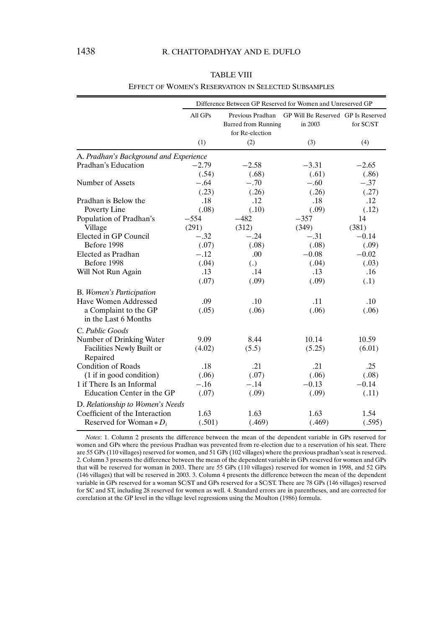| ARI : | V | ш |
|-------|---|---|
|-------|---|---|

|                                        |         | Difference Between GP Reserved for Women and Unreserved GP        |                                               |           |
|----------------------------------------|---------|-------------------------------------------------------------------|-----------------------------------------------|-----------|
|                                        | All GPs | Previous Pradhan<br><b>Barred from Running</b><br>for Re-election | GP Will Be Reserved GP Is Reserved<br>in 2003 | for SC/ST |
|                                        | (1)     | (2)                                                               | (3)                                           | (4)       |
| A. Pradhan's Background and Experience |         |                                                                   |                                               |           |
| Pradhan's Education                    | $-2.79$ | $-2.58$                                                           | $-3.31$                                       | $-2.65$   |
|                                        | (.54)   | (.68)                                                             | (.61)                                         | (.86)     |
| Number of Assets                       | $-.64$  | $-.70$                                                            | $-.60$                                        | $-.37$    |
|                                        | (.23)   | (.26)                                                             | (.26)                                         | (.27)     |
| Pradhan is Below the                   | .18     | .12                                                               | .18                                           | .12       |
| Poverty Line                           | (.08)   | (.10)                                                             | (.09)                                         | (.12)     |
| Population of Pradhan's                | $-554$  | $-482$                                                            | $-357$                                        | 14        |
| Village                                | (291)   | (312)                                                             | (349)                                         | (381)     |
| Elected in GP Council                  | $-.32$  | $-.24$                                                            | $-.31$                                        | $-0.14$   |
| Before 1998                            | (.07)   | (.08)                                                             | (.08)                                         | (.09)     |
| Elected as Pradhan                     | $-.12$  | .00                                                               | $-0.08$                                       | $-0.02$   |
| Before 1998                            | (.04)   | (.)                                                               | (.04)                                         | (.03)     |
| Will Not Run Again                     | .13     | .14                                                               | .13                                           | .16       |
|                                        | (.07)   | (.09)                                                             | (.09)                                         | (.1)      |
| <b>B.</b> Women's Participation        |         |                                                                   |                                               |           |
| <b>Have Women Addressed</b>            | .09     | .10                                                               | .11                                           | .10       |
| a Complaint to the GP                  | (.05)   | (.06)                                                             | (.06)                                         | (.06)     |
| in the Last 6 Months                   |         |                                                                   |                                               |           |
| C. Public Goods                        |         |                                                                   |                                               |           |
| Number of Drinking Water               | 9.09    | 8.44                                                              | 10.14                                         | 10.59     |
| Facilities Newly Built or              | (4.02)  | (5.5)                                                             | (5.25)                                        | (6.01)    |
| Repaired                               |         |                                                                   |                                               |           |
| <b>Condition of Roads</b>              | .18     | .21                                                               | .21                                           | .25       |
| (1 if in good condition)               | (.06)   | (.07)                                                             | (.06)                                         | (.08)     |
| 1 if There Is an Informal              | $-.16$  | $-.14$                                                            | $-0.13$                                       | $-0.14$   |
| Education Center in the GP             | (.07)   | (.09)                                                             | (.09)                                         | (.11)     |
| D. Relationship to Women's Needs       |         |                                                                   |                                               |           |
| Coefficient of the Interaction         | 1.63    | 1.63                                                              | 1.63                                          | 1.54      |
| Reserved for Woman $*D_i$              | (.501)  | (.469)                                                            | (.469)                                        | (.595)    |
|                                        |         |                                                                   |                                               |           |

#### EFFECT OF WOMEN'S RESERVATION IN SELECTED SUBSAMPLES

*Notes*: 1. Column 2 presents the difference between the mean of the dependent variable in GPs reserved for women and GPs where the previous Pradhan was prevented from re-election due to a reservation of his seat. There are 55 GPs (110 villages) reserved for women, and 51 GPs (102 villages) where the previous pradhan's seat is reserved. 2. Column 3 presents the difference between the mean of the dependent variable in GPs reserved for women and GPs that will be reserved for woman in 2003. There are 55 GPs (110 villages) reserved for women in 1998, and 52 GPs (146 villages) that will be reserved in 2003. 3. Column 4 presents the difference between the mean of the dependent variable in GPs reserved for a woman SC/ST and GPs reserved for a SC/ST. There are 78 GPs (146 villages) reserved for SC and ST, including 28 reserved for women as well. 4. Standard errors are in parentheses, and are corrected for correlation at the GP level in the village level regressions using the Moulton (1986) formula.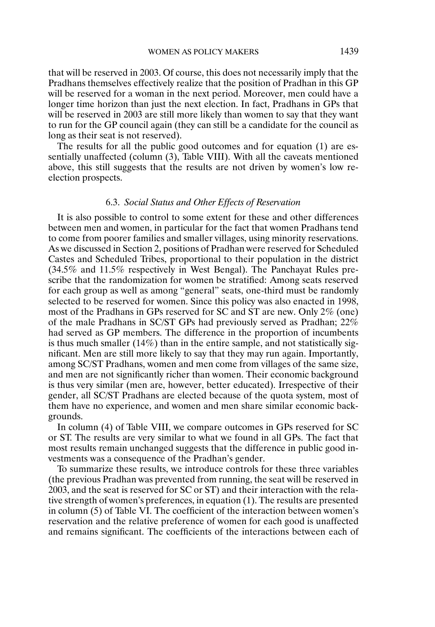that will be reserved in 2003. Of course, this does not necessarily imply that the Pradhans themselves effectively realize that the position of Pradhan in this GP will be reserved for a woman in the next period. Moreover, men could have a longer time horizon than just the next election. In fact, Pradhans in GPs that will be reserved in 2003 are still more likely than women to say that they want to run for the GP council again (they can still be a candidate for the council as long as their seat is not reserved).

The results for all the public good outcomes and for equation (1) are essentially unaffected (column (3), Table VIII). With all the caveats mentioned above, this still suggests that the results are not driven by women's low reelection prospects.

## 6.3. *Social Status and Other Effects of Reservation*

It is also possible to control to some extent for these and other differences between men and women, in particular for the fact that women Pradhans tend to come from poorer families and smaller villages, using minority reservations. As we discussed in Section 2, positions of Pradhan were reserved for Scheduled Castes and Scheduled Tribes, proportional to their population in the district (34.5% and 11.5% respectively in West Bengal). The Panchayat Rules prescribe that the randomization for women be stratified: Among seats reserved for each group as well as among "general" seats, one-third must be randomly selected to be reserved for women. Since this policy was also enacted in 1998, most of the Pradhans in GPs reserved for SC and ST are new. Only 2% (one) of the male Pradhans in SC/ST GPs had previously served as Pradhan; 22% had served as GP members. The difference in the proportion of incumbents is thus much smaller  $(14\%)$  than in the entire sample, and not statistically significant. Men are still more likely to say that they may run again. Importantly, among SC/ST Pradhans, women and men come from villages of the same size, and men are not significantly richer than women. Their economic background is thus very similar (men are, however, better educated). Irrespective of their gender, all SC/ST Pradhans are elected because of the quota system, most of them have no experience, and women and men share similar economic backgrounds.

In column (4) of Table VIII, we compare outcomes in GPs reserved for SC or ST. The results are very similar to what we found in all GPs. The fact that most results remain unchanged suggests that the difference in public good investments was a consequence of the Pradhan's gender.

To summarize these results, we introduce controls for these three variables (the previous Pradhan was prevented from running, the seat will be reserved in 2003, and the seat is reserved for SC or ST) and their interaction with the relative strength of women's preferences, in equation (1). The results are presented in column (5) of Table VI. The coefficient of the interaction between women's reservation and the relative preference of women for each good is unaffected and remains significant. The coefficients of the interactions between each of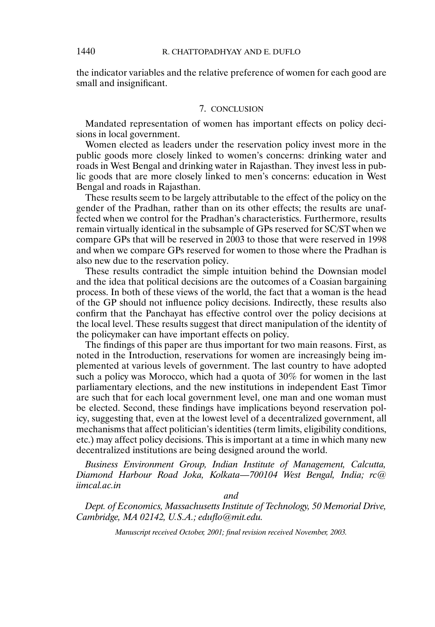the indicator variables and the relative preference of women for each good are small and insignificant.

# 7. CONCLUSION

Mandated representation of women has important effects on policy decisions in local government.

Women elected as leaders under the reservation policy invest more in the public goods more closely linked to women's concerns: drinking water and roads in West Bengal and drinking water in Rajasthan. They invest less in public goods that are more closely linked to men's concerns: education in West Bengal and roads in Rajasthan.

These results seem to be largely attributable to the effect of the policy on the gender of the Pradhan, rather than on its other effects; the results are unaffected when we control for the Pradhan's characteristics. Furthermore, results remain virtually identical in the subsample of GPs reserved for SC/ST when we compare GPs that will be reserved in 2003 to those that were reserved in 1998 and when we compare GPs reserved for women to those where the Pradhan is also new due to the reservation policy.

These results contradict the simple intuition behind the Downsian model and the idea that political decisions are the outcomes of a Coasian bargaining process. In both of these views of the world, the fact that a woman is the head of the GP should not influence policy decisions. Indirectly, these results also confirm that the Panchayat has effective control over the policy decisions at the local level. These results suggest that direct manipulation of the identity of the policymaker can have important effects on policy.

The findings of this paper are thus important for two main reasons. First, as noted in the Introduction, reservations for women are increasingly being implemented at various levels of government. The last country to have adopted such a policy was Morocco, which had a quota of 30% for women in the last parliamentary elections, and the new institutions in independent East Timor are such that for each local government level, one man and one woman must be elected. Second, these findings have implications beyond reservation policy, suggesting that, even at the lowest level of a decentralized government, all mechanisms that affect politician's identities (term limits, eligibility conditions, etc.) may affect policy decisions. This is important at a time in which many new decentralized institutions are being designed around the world.

*Business Environment Group, Indian Institute of Management, Calcutta, Diamond Harbour Road Joka, Kolkata—700104 West Bengal, India; rc@ iimcal.ac.in*

*and*

*Dept. of Economics, Massachusetts Institute of Technology, 50 Memorial Drive, Cambridge, MA 02142, U.S.A.; eduflo@mit.edu.*

*Manuscript received October, 2001; final revision received November, 2003.*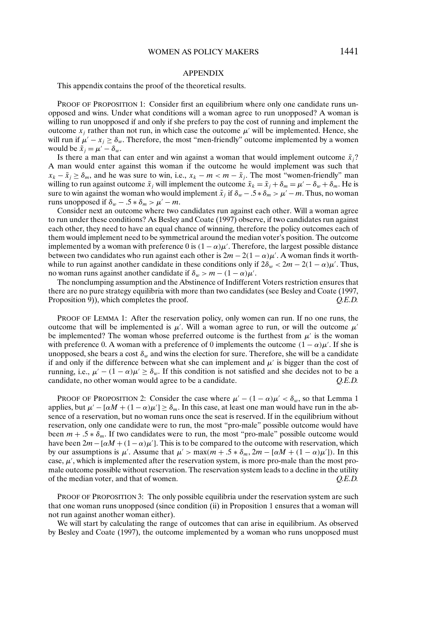#### APPENDIX

This appendix contains the proof of the theoretical results.

PROOF OF PROPOSITION 1: Consider first an equilibrium where only one candidate runs unopposed and wins. Under what conditions will a woman agree to run unopposed? A woman is willing to run unopposed if and only if she prefers to pay the cost of running and implement the outcome  $x_j$  rather than not run, in which case the outcome  $\mu'$  will be implemented. Hence, she will run if  $\mu' - x_j \ge \delta_w$ . Therefore, the most "men-friendly" outcome implemented by a women would be  $\tilde{x}_i = \mu' - \delta_w$ .

Is there a man that can enter and win against a woman that would implement outcome  $\tilde{x}_i$ ? A man would enter against this woman if the outcome he would implement was such that  $x_k - \tilde{x}_j \ge \delta_m$ , and he was sure to win, i.e.,  $x_k - m < m - \tilde{x}_j$ . The most "women-friendly" man willing to run against outcome  $\tilde{x}_j$  will implement the outcome  $\tilde{x}_k = \tilde{x}_j + \delta_m = \mu' - \delta_w + \delta_m$ . He is sure to win against the woman who would implement  $\tilde{x}_i$  if  $\delta_w - 0.5 * \delta_m > \mu' - m$ . Thus, no woman runs unopposed if  $\delta_w - 0.5 * \delta_m > \mu' - m$ .

Consider next an outcome where two candidates run against each other. Will a woman agree to run under these conditions? As Besley and Coate (1997) observe, if two candidates run against each other, they need to have an equal chance of winning, therefore the policy outcomes each of them would implement need to be symmetrical around the median voter's position. The outcome implemented by a woman with preference 0 is  $(1 - \alpha)\mu'$ . Therefore, the largest possible distance between two candidates who run against each other is  $2m - 2(1 - \alpha)\mu'$ . A woman finds it worthwhile to run against another candidate in these conditions only if  $2\delta_w < 2m - 2(1 - \alpha)\mu'$ . Thus, no woman runs against another candidate if  $\delta_w > m - (1 - \alpha)\mu'$ .

The nonclumping assumption and the Abstinence of Indifferent Voters restriction ensures that there are no pure strategy equilibria with more than two candidates (see Besley and Coate (1997, Proposition 9)), which completes the proof. *Q.E.D.*

PROOF OF LEMMA 1: After the reservation policy, only women can run. If no one runs, the outcome that will be implemented is  $\mu'$ . Will a woman agree to run, or will the outcome  $\mu'$ be implemented? The woman whose preferred outcome is the furthest from  $\mu'$  is the woman with preference 0. A woman with a preference of 0 implements the outcome  $(1 - \alpha)\mu'$ . If she is unopposed, she bears a cost  $\delta_w$  and wins the election for sure. Therefore, she will be a candidate if and only if the difference between what she can implement and  $\mu'$  is bigger than the cost of running, i.e.,  $\mu' - (1 - \alpha)\mu' \ge \delta_w$ . If this condition is not satisfied and she decides not to be a candidate, no other woman would agree to be a candidate. *Q.E.D.*

PROOF OF PROPOSITION 2: Consider the case where  $\mu' - (1 - \alpha)\mu' < \delta_w$ , so that Lemma 1 applies, but  $\mu' - [\alpha M + (1 - \alpha)\mu'] \ge \delta_m$ . In this case, at least one man would have run in the absence of a reservation, but no woman runs once the seat is reserved. If in the equilibrium without reservation, only one candidate were to run, the most "pro-male" possible outcome would have been  $m + .5 * \delta_m$ . If two candidates were to run, the most "pro-male" possible outcome would have been  $2m - [\alpha M + (1 - \alpha)\mu']$ . This is to be compared to the outcome with reservation, which by our assumptions is  $\mu'$ . Assume that  $\mu' > \max(m + .5 * \delta_m, 2m - [\alpha M + (1 - \alpha)\mu'])$ . In this case,  $\mu'$ , which is implemented after the reservation system, is more pro-male than the most promale outcome possible without reservation. The reservation system leads to a decline in the utility of the median voter, and that of women. *Q.E.D.*

PROOF OF PROPOSITION 3: The only possible equilibria under the reservation system are such that one woman runs unopposed (since condition (ii) in Proposition 1 ensures that a woman will not run against another woman either).

We will start by calculating the range of outcomes that can arise in equilibrium. As observed by Besley and Coate (1997), the outcome implemented by a woman who runs unopposed must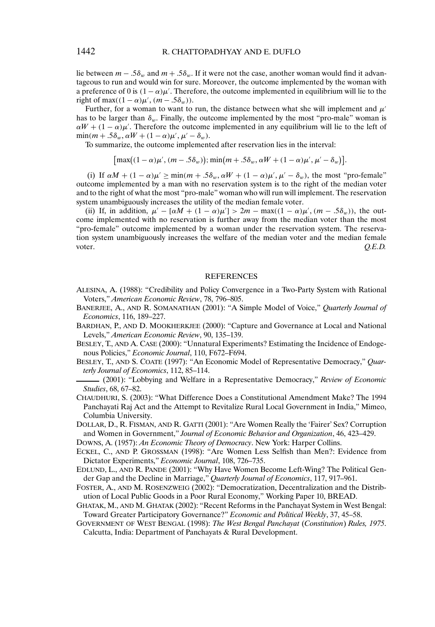lie between  $m - 0.5\delta_w$  and  $m + 0.5\delta_w$ . If it were not the case, another woman would find it advantageous to run and would win for sure. Moreover, the outcome implemented by the woman with a preference of 0 is  $(1 - \alpha)\mu'$ . Therefore, the outcome implemented in equilibrium will lie to the right of max( $(1 - \alpha)\mu'$ ,  $(m - .5\delta_w)$ ).

Further, for a woman to want to run, the distance between what she will implement and  $\mu'$ has to be larger than  $\delta_w$ . Finally, the outcome implemented by the most "pro-male" woman is  $\alpha W + (1 - \alpha)\mu'$ . Therefore the outcome implemented in any equilibrium will lie to the left of  $\min(m+.5\delta_w, \alpha W + (1-\alpha)\mu', \mu' - \delta_w).$ 

To summarize, the outcome implemented after reservation lies in the interval:

$$
[\max((1-\alpha)\mu', (m-.5\delta_w)); \min(m+.5\delta_w, \alpha W + (1-\alpha)\mu', \mu'-\delta_w)].
$$

(i) If  $\alpha M + (1 - \alpha)\mu' \ge \min(m + .5\delta_w, \alpha W + (1 - \alpha)\mu', \mu' - \delta_w)$ , the most "pro-female" outcome implemented by a man with no reservation system is to the right of the median voter and to the right of what the most "pro-male" woman who will run will implement. The reservation system unambiguously increases the utility of the median female voter.

(ii) If, in addition,  $\mu' - [\alpha M + (1 - \alpha)\mu'] > 2m - \max((1 - \alpha)\mu', (m - .5\delta_w))$ , the outcome implemented with no reservation is further away from the median voter than the most "pro-female" outcome implemented by a woman under the reservation system. The reservation system unambiguously increases the welfare of the median voter and the median female voter.  $Q.E.D.$ 

#### **REFERENCES**

- ALESINA, A. (1988): "Credibility and Policy Convergence in a Two-Party System with Rational Voters," *American Economic Review*, 78, 796–805.
- BANERJEE, A., AND R. SOMANATHAN (2001): "A Simple Model of Voice," *Quarterly Journal of Economics*, 116, 189–227.
- BARDHAN, P., AND D. MOOKHERKJEE (2000): "Capture and Governance at Local and National Levels," *American Economic Review*, 90, 135–139.
- BESLEY, T., AND A. CASE (2000): "Unnatural Experiments? Estimating the Incidence of Endogenous Policies," *Economic Journal*, 110, F672–F694.
- BESLEY, T., AND S. COATE (1997): "An Economic Model of Representative Democracy," *Quarterly Journal of Economics*, 112, 85–114.
- (2001): "Lobbying and Welfare in a Representative Democracy," *Review of Economic Studies*, 68, 67–82.
- CHAUDHURI, S. (2003): "What Difference Does a Constitutional Amendment Make? The 1994 Panchayati Raj Act and the Attempt to Revitalize Rural Local Government in India," Mimeo, Columbia University.
- DOLLAR, D., R. FISMAN, AND R. GATTI (2001): "Are Women Really the 'Fairer' Sex? Corruption and Women in Government," *Journal of Economic Behavior and Organization*, 46, 423–429.
- DOWNS, A. (1957): *An Economic Theory of Democracy*. New York: Harper Collins.
- ECKEL, C., AND P. GROSSMAN (1998): "Are Women Less Selfish than Men?: Evidence from Dictator Experiments," *Economic Journal*, 108, 726–735.
- EDLUND, L., AND R. PANDE (2001): "Why Have Women Become Left-Wing? The Political Gender Gap and the Decline in Marriage," *Quarterly Journal of Economics*, 117, 917–961.
- FOSTER, A., AND M. ROSENZWEIG (2002): "Democratization, Decentralization and the Distribution of Local Public Goods in a Poor Rural Economy," Working Paper 10, BREAD.
- GHATAK, M., AND M. GHATAK (2002): "Recent Reforms in the Panchayat System in West Bengal: Toward Greater Participatory Governance?" *Economic and Political Weekly*, 37, 45–58.
- GOVERNMENT OF WEST BENGAL (1998): *The West Bengal Panchayat* (*Constitution*) *Rules, 1975*. Calcutta, India: Department of Panchayats & Rural Development.